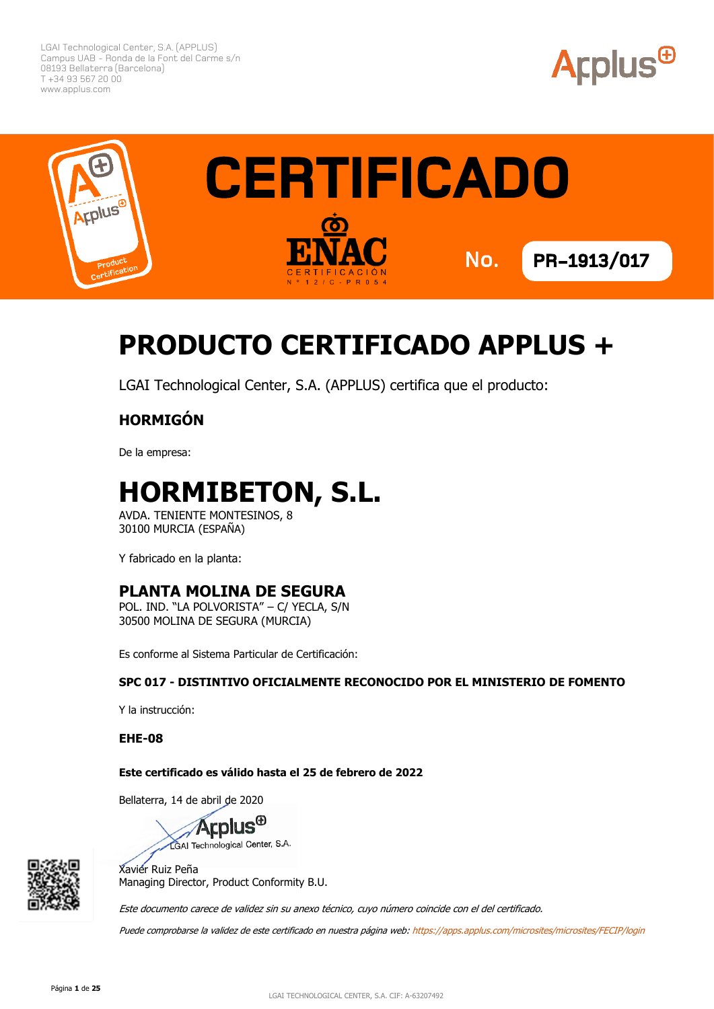



# **PRODUCTO CERTIFICADO APPLUS +**

LGAI Technological Center, S.A. (APPLUS) certifica que el producto:

#### **HORMIGÓN**

De la empresa:

# **HORMIBETON, S.L.**

AVDA. TENIENTE MONTESINOS, 8 30100 MURCIA (ESPAÑA)

Y fabricado en la planta:

#### **PLANTA MOLINA DE SEGURA**

POL. IND. "LA POLVORISTA" – C/ YECLA, S/N 30500 MOLINA DE SEGURA (MURCIA)

Es conforme al Sistema Particular de Certificación:

#### **SPC 017 - DISTINTIVO OFICIALMENTE RECONOCIDO POR EL MINISTERIO DE FOMENTO**

Y la instrucción:

**EHE-08**

#### **Este certificado es válido hasta el 25 de febrero de 2022**

Bellaterra, 14 de abril de 2020





Xavier Ruiz Peña Managing Director, Product Conformity B.U.

Este documento carece de validez sin su anexo técnico, cuyo número coincide con el del certificado.

Puede comprobarse la validez de este certificado en nuestra página web[: https://apps.applus.com/microsites/microsites/FECIP/login](https://apps.applus.com/microsites/microsites/FECIP/login)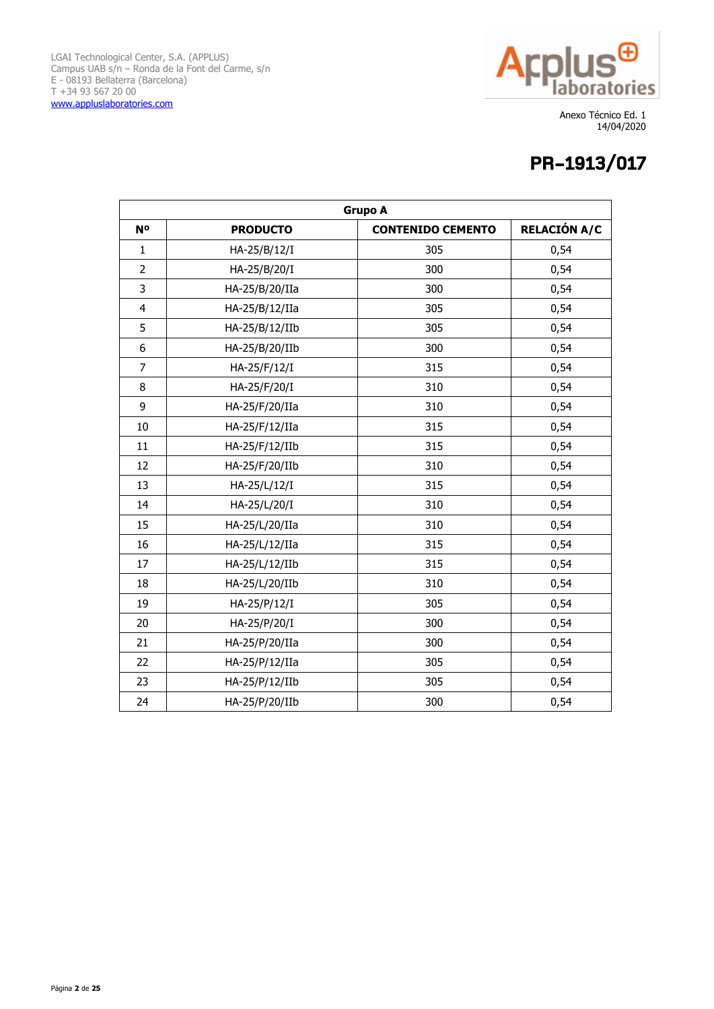

| <b>Grupo A</b> |                 |                          |                     |
|----------------|-----------------|--------------------------|---------------------|
| N <sup>o</sup> | <b>PRODUCTO</b> | <b>CONTENIDO CEMENTO</b> | <b>RELACIÓN A/C</b> |
| $\mathbf{1}$   | HA-25/B/12/I    | 305                      | 0,54                |
| $\overline{2}$ | HA-25/B/20/I    | 300                      | 0,54                |
| 3              | HA-25/B/20/IIa  | 300                      | 0,54                |
| $\overline{4}$ | HA-25/B/12/IIa  | 305                      | 0,54                |
| 5              | HA-25/B/12/IIb  | 305                      | 0,54                |
| 6              | HA-25/B/20/IIb  | 300                      | 0,54                |
| $\overline{7}$ | HA-25/F/12/I    | 315                      | 0,54                |
| 8              | HA-25/F/20/I    | 310                      | 0,54                |
| 9              | HA-25/F/20/IIa  | 310                      | 0,54                |
| 10             | HA-25/F/12/IIa  | 315                      | 0,54                |
| 11             | HA-25/F/12/IIb  | 315                      | 0,54                |
| 12             | HA-25/F/20/IIb  | 310                      | 0,54                |
| 13             | HA-25/L/12/I    | 315                      | 0,54                |
| 14             | HA-25/L/20/I    | 310                      | 0,54                |
| 15             | HA-25/L/20/IIa  | 310                      | 0,54                |
| 16             | HA-25/L/12/IIa  | 315                      | 0,54                |
| 17             | HA-25/L/12/IIb  | 315                      | 0,54                |
| 18             | HA-25/L/20/IIb  | 310                      | 0,54                |
| 19             | HA-25/P/12/I    | 305                      | 0,54                |
| 20             | HA-25/P/20/I    | 300                      | 0,54                |
| 21             | HA-25/P/20/IIa  | 300                      | 0,54                |
| 22             | HA-25/P/12/IIa  | 305                      | 0,54                |
| 23             | HA-25/P/12/IIb  | 305                      | 0,54                |
| 24             | HA-25/P/20/IIb  | 300                      | 0,54                |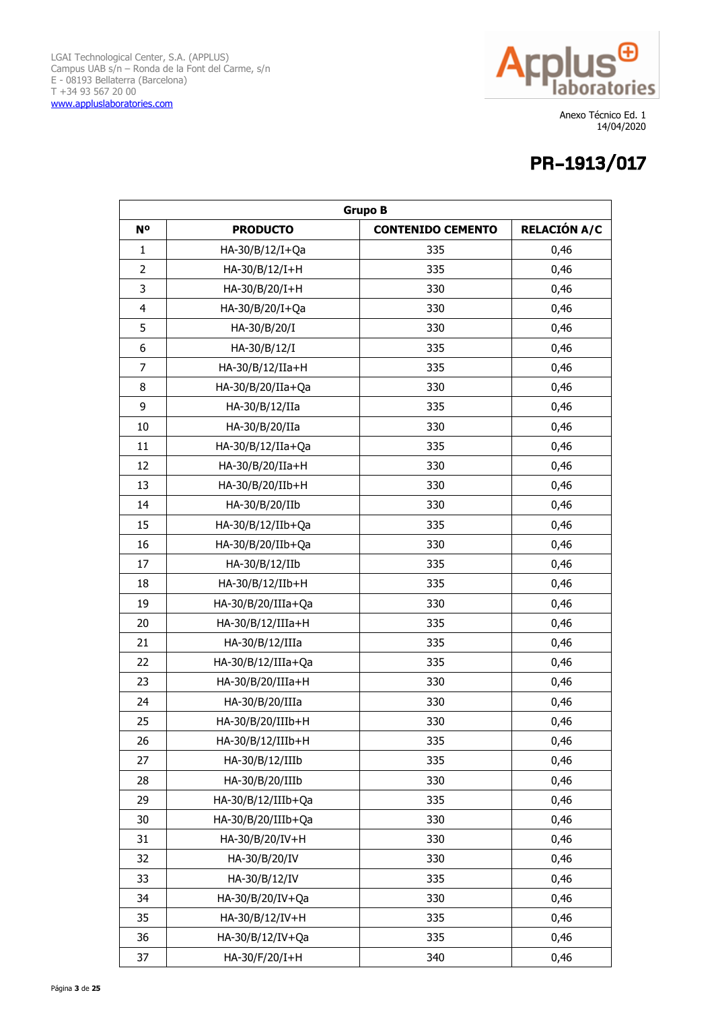

| <b>Grupo B</b>   |                     |                          |                     |
|------------------|---------------------|--------------------------|---------------------|
| N <sup>o</sup>   | <b>PRODUCTO</b>     | <b>CONTENIDO CEMENTO</b> | <b>RELACIÓN A/C</b> |
| $\mathbf{1}$     | HA-30/B/12/I+Qa     | 335                      | 0,46                |
| $\overline{2}$   | HA-30/B/12/I+H      | 335                      | 0,46                |
| 3                | HA-30/B/20/I+H      | 330                      | 0,46                |
| $\overline{4}$   | HA-30/B/20/I+Qa     | 330                      | 0,46                |
| 5                | HA-30/B/20/I        | 330                      | 0,46                |
| $\boldsymbol{6}$ | HA-30/B/12/I        | 335                      | 0,46                |
| $\overline{7}$   | HA-30/B/12/IIa+H    | 335                      | 0,46                |
| 8                | HA-30/B/20/IIa+Qa   | 330                      | 0,46                |
| 9                | HA-30/B/12/IIa      | 335                      | 0,46                |
| 10               | HA-30/B/20/IIa      | 330                      | 0,46                |
| 11               | HA-30/B/12/IIa+Qa   | 335                      | 0,46                |
| 12               | HA-30/B/20/IIa+H    | 330                      | 0,46                |
| 13               | HA-30/B/20/IIb+H    | 330                      | 0,46                |
| 14               | HA-30/B/20/IIb      | 330                      | 0,46                |
| 15               | HA-30/B/12/IIb+Qa   | 335                      | 0,46                |
| 16               | HA-30/B/20/IIb+Qa   | 330                      | 0,46                |
| 17               | HA-30/B/12/IIb      | 335                      | 0,46                |
| 18               | HA-30/B/12/IIb+H    | 335                      | 0,46                |
| 19               | HA-30/B/20/IIIa+Qa  | 330                      | 0,46                |
| 20               | HA-30/B/12/IIIa+H   | 335                      | 0,46                |
| 21               | HA-30/B/12/IIIa     | 335                      | 0,46                |
| 22               | HA-30/B/12/IIIa+Qa  | 335                      | 0,46                |
| 23               | HA-30/B/20/IIIa+H   | 330                      | 0,46                |
| 24               | HA-30/B/20/IIIa     | 330                      | 0,46                |
| 25               | HA-30/B/20/IIIb+H   | 330                      | 0,46                |
| 26               | $HA-30/B/12/IIIb+H$ | 335                      | 0,46                |
| 27               | HA-30/B/12/IIIb     | 335                      | 0,46                |
| 28               | HA-30/B/20/IIIb     | 330                      | 0,46                |
| 29               | HA-30/B/12/IIIb+Qa  | 335                      | 0,46                |
| 30               | HA-30/B/20/IIIb+Qa  | 330                      | 0,46                |
| 31               | HA-30/B/20/IV+H     | 330                      | 0,46                |
| 32               | HA-30/B/20/IV       | 330                      | 0,46                |
| 33               | HA-30/B/12/IV       | 335                      | 0,46                |
| 34               | HA-30/B/20/IV+Qa    | 330                      | 0,46                |
| 35               | HA-30/B/12/IV+H     | 335                      | 0,46                |
| 36               | HA-30/B/12/IV+Qa    | 335                      | 0,46                |
| 37               | HA-30/F/20/I+H      | 340                      | 0,46                |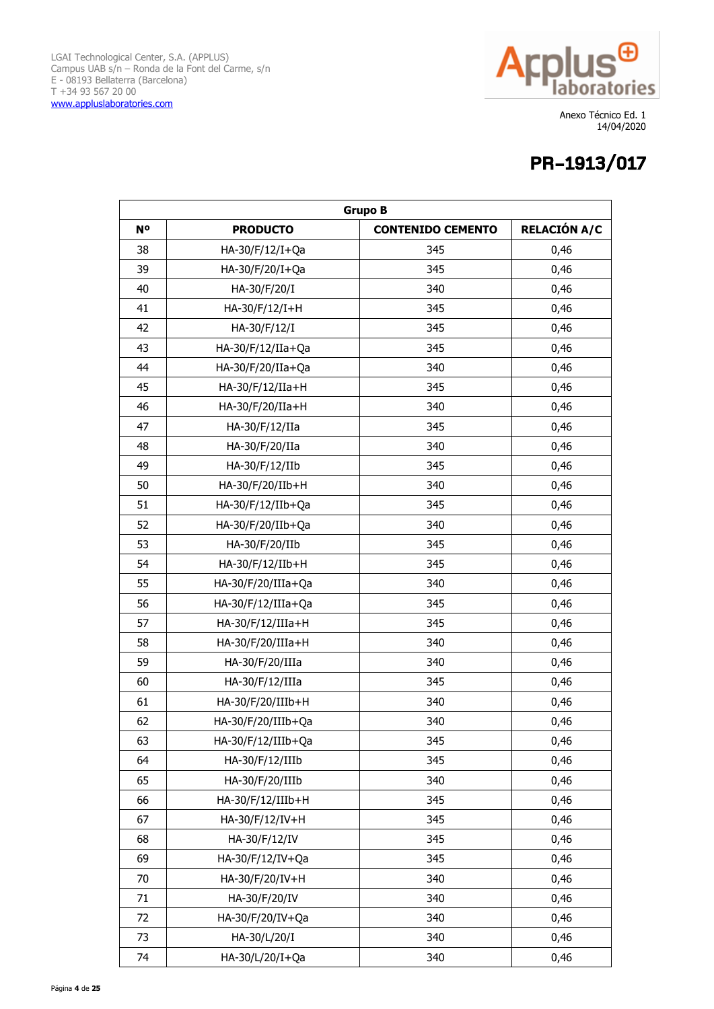

| <b>Grupo B</b> |                      |                          |                     |
|----------------|----------------------|--------------------------|---------------------|
| N <sup>o</sup> | <b>PRODUCTO</b>      | <b>CONTENIDO CEMENTO</b> | <b>RELACIÓN A/C</b> |
| 38             | HA-30/F/12/I+Qa      | 345                      | 0,46                |
| 39             | HA-30/F/20/I+Qa      | 345                      | 0,46                |
| 40             | HA-30/F/20/I         | 340                      | 0,46                |
| 41             | HA-30/F/12/I+H       | 345                      | 0,46                |
| 42             | HA-30/F/12/I         | 345                      | 0,46                |
| 43             | HA-30/F/12/IIa+Qa    | 345                      | 0,46                |
| 44             | HA-30/F/20/IIa+Qa    | 340                      | 0,46                |
| 45             | HA-30/F/12/IIa+H     | 345                      | 0,46                |
| 46             | HA-30/F/20/IIa+H     | 340                      | 0,46                |
| 47             | HA-30/F/12/IIa       | 345                      | 0,46                |
| 48             | HA-30/F/20/IIa       | 340                      | 0,46                |
| 49             | HA-30/F/12/IIb       | 345                      | 0,46                |
| 50             | HA-30/F/20/IIb+H     | 340                      | 0,46                |
| 51             | HA-30/F/12/IIb+Qa    | 345                      | 0,46                |
| 52             | HA-30/F/20/IIb+Qa    | 340                      | 0,46                |
| 53             | HA-30/F/20/IIb       | 345                      | 0,46                |
| 54             | HA-30/F/12/IIb+H     | 345                      | 0,46                |
| 55             | HA-30/F/20/IIIa+Qa   | 340                      | 0,46                |
| 56             | HA-30/F/12/IIIa+Qa   | 345                      | 0,46                |
| 57             | HA-30/F/12/IIIa+H    | 345                      | 0,46                |
| 58             | HA-30/F/20/IIIa+H    | 340                      | 0,46                |
| 59             | HA-30/F/20/IIIa      | 340                      | 0,46                |
| 60             | HA-30/F/12/IIIa      | 345                      | 0,46                |
| 61             | HA-30/F/20/IIIb+H    | 340                      | 0,46                |
| 62             | HA-30/F/20/IIIb+Qa   | 340                      | 0,46                |
| 63             | $HA-30/F/12/IIIb+Qa$ | 345                      | 0,46                |
| 64             | HA-30/F/12/IIIb      | 345                      | 0,46                |
| 65             | HA-30/F/20/IIIb      | 340                      | 0,46                |
| 66             | HA-30/F/12/IIIb+H    | 345                      | 0,46                |
| 67             | HA-30/F/12/IV+H      | 345                      | 0,46                |
| 68             | HA-30/F/12/IV        | 345                      | 0,46                |
| 69             | HA-30/F/12/IV+Qa     | 345                      | 0,46                |
| 70             | HA-30/F/20/IV+H      | 340                      | 0,46                |
| 71             | HA-30/F/20/IV        | 340                      | 0,46                |
| 72             | HA-30/F/20/IV+Qa     | 340                      | 0,46                |
| 73             | HA-30/L/20/I         | 340                      | 0,46                |
| 74             | HA-30/L/20/I+Qa      | 340                      | 0,46                |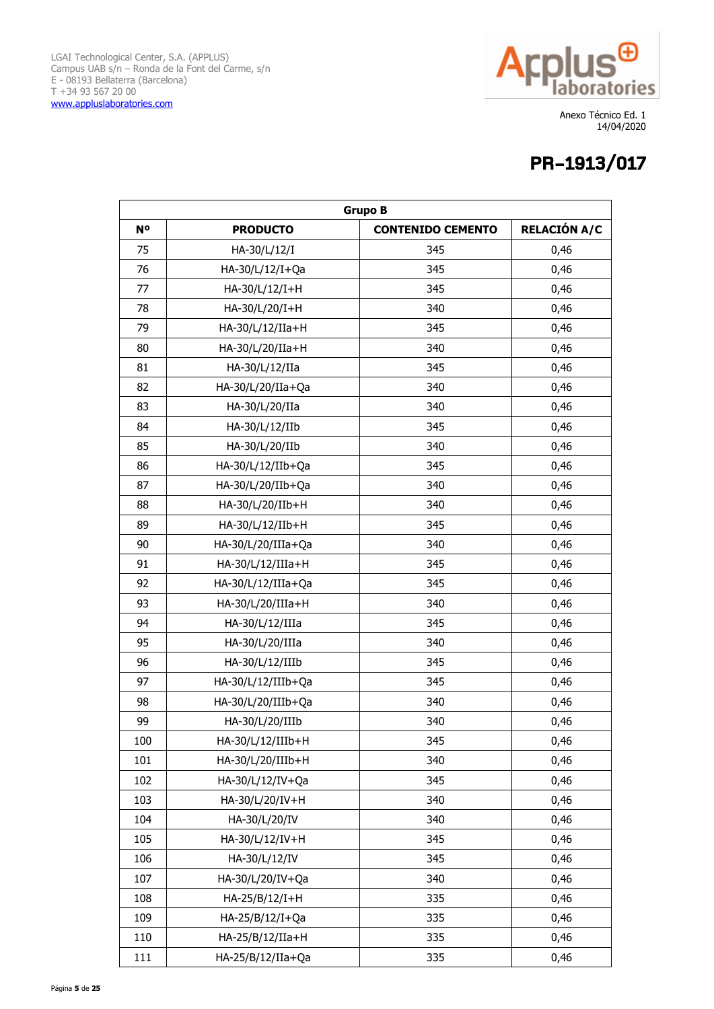

| <b>Grupo B</b> |                     |                          |                     |
|----------------|---------------------|--------------------------|---------------------|
| <b>N°</b>      | <b>PRODUCTO</b>     | <b>CONTENIDO CEMENTO</b> | <b>RELACIÓN A/C</b> |
| 75             | HA-30/L/12/I        | 345                      | 0,46                |
| 76             | HA-30/L/12/I+Qa     | 345                      | 0,46                |
| 77             | HA-30/L/12/I+H      | 345                      | 0,46                |
| 78             | HA-30/L/20/I+H      | 340                      | 0,46                |
| 79             | HA-30/L/12/IIa+H    | 345                      | 0,46                |
| 80             | HA-30/L/20/IIa+H    | 340                      | 0,46                |
| 81             | HA-30/L/12/IIa      | 345                      | 0,46                |
| 82             | HA-30/L/20/IIa+Qa   | 340                      | 0,46                |
| 83             | HA-30/L/20/IIa      | 340                      | 0,46                |
| 84             | HA-30/L/12/IIb      | 345                      | 0,46                |
| 85             | HA-30/L/20/IIb      | 340                      | 0,46                |
| 86             | HA-30/L/12/IIb+Qa   | 345                      | 0,46                |
| 87             | HA-30/L/20/IIb+Qa   | 340                      | 0,46                |
| 88             | HA-30/L/20/IIb+H    | 340                      | 0,46                |
| 89             | HA-30/L/12/IIb+H    | 345                      | 0,46                |
| 90             | HA-30/L/20/IIIa+Qa  | 340                      | 0,46                |
| 91             | HA-30/L/12/IIIa+H   | 345                      | 0,46                |
| 92             | HA-30/L/12/IIIa+Qa  | 345                      | 0,46                |
| 93             | HA-30/L/20/IIIa+H   | 340                      | 0,46                |
| 94             | HA-30/L/12/IIIa     | 345                      | 0,46                |
| 95             | HA-30/L/20/IIIa     | 340                      | 0,46                |
| 96             | HA-30/L/12/IIIb     | 345                      | 0,46                |
| 97             | HA-30/L/12/IIIb+Qa  | 345                      | 0,46                |
| 98             | HA-30/L/20/IIIb+Qa  | 340                      | 0,46                |
| 99             | HA-30/L/20/IIIb     | 340                      | 0,46                |
| 100            | $HA-30/L/12/IIIb+H$ | 345                      | 0,46                |
| 101            | HA-30/L/20/IIIb+H   | 340                      | 0,46                |
| 102            | HA-30/L/12/IV+Qa    | 345                      | 0,46                |
| 103            | HA-30/L/20/IV+H     | 340                      | 0,46                |
| 104            | HA-30/L/20/IV       | 340                      | 0,46                |
| 105            | HA-30/L/12/IV+H     | 345                      | 0,46                |
| 106            | HA-30/L/12/IV       | 345                      | 0,46                |
| 107            | HA-30/L/20/IV+Qa    | 340                      | 0,46                |
| 108            | HA-25/B/12/I+H      | 335                      | 0,46                |
| 109            | HA-25/B/12/I+Qa     | 335                      | 0,46                |
| 110            | HA-25/B/12/IIa+H    | 335                      | 0,46                |
| 111            | HA-25/B/12/IIa+Qa   | 335                      | 0,46                |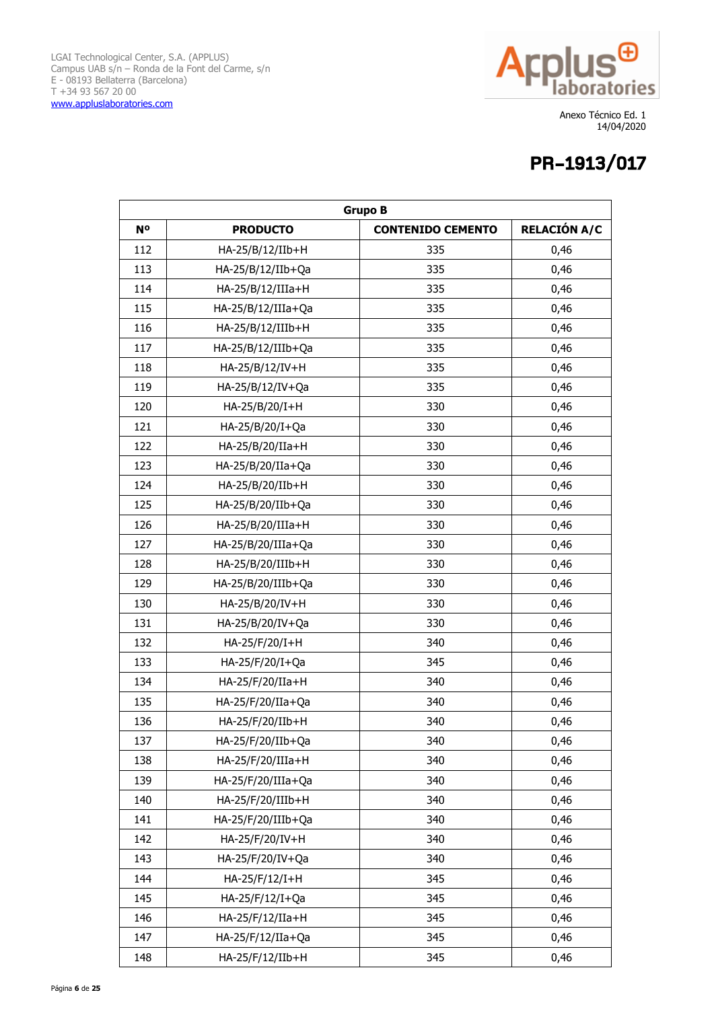

| <b>Grupo B</b> |                    |                          |                     |
|----------------|--------------------|--------------------------|---------------------|
| N <sup>o</sup> | <b>PRODUCTO</b>    | <b>CONTENIDO CEMENTO</b> | <b>RELACIÓN A/C</b> |
| 112            | HA-25/B/12/IIb+H   | 335                      | 0,46                |
| 113            | HA-25/B/12/IIb+Qa  | 335                      | 0,46                |
| 114            | HA-25/B/12/IIIa+H  | 335                      | 0,46                |
| 115            | HA-25/B/12/IIIa+Qa | 335                      | 0,46                |
| 116            | HA-25/B/12/IIIb+H  | 335                      | 0,46                |
| 117            | HA-25/B/12/IIIb+Qa | 335                      | 0,46                |
| 118            | HA-25/B/12/IV+H    | 335                      | 0,46                |
| 119            | HA-25/B/12/IV+Qa   | 335                      | 0,46                |
| 120            | HA-25/B/20/I+H     | 330                      | 0,46                |
| 121            | HA-25/B/20/I+Qa    | 330                      | 0,46                |
| 122            | HA-25/B/20/IIa+H   | 330                      | 0,46                |
| 123            | HA-25/B/20/IIa+Qa  | 330                      | 0,46                |
| 124            | HA-25/B/20/IIb+H   | 330                      | 0,46                |
| 125            | HA-25/B/20/IIb+Qa  | 330                      | 0,46                |
| 126            | HA-25/B/20/IIIa+H  | 330                      | 0,46                |
| 127            | HA-25/B/20/IIIa+Qa | 330                      | 0,46                |
| 128            | HA-25/B/20/IIIb+H  | 330                      | 0,46                |
| 129            | HA-25/B/20/IIIb+Qa | 330                      | 0,46                |
| 130            | HA-25/B/20/IV+H    | 330                      | 0,46                |
| 131            | HA-25/B/20/IV+Qa   | 330                      | 0,46                |
| 132            | HA-25/F/20/I+H     | 340                      | 0,46                |
| 133            | HA-25/F/20/I+Qa    | 345                      | 0,46                |
| 134            | HA-25/F/20/IIa+H   | 340                      | 0,46                |
| 135            | HA-25/F/20/IIa+Qa  | 340                      | 0,46                |
| 136            | HA-25/F/20/IIb+H   | 340                      | 0,46                |
| 137            | HA-25/F/20/IIb+Qa  | 340                      | 0,46                |
| 138            | HA-25/F/20/IIIa+H  | 340                      | 0,46                |
| 139            | HA-25/F/20/IIIa+Qa | 340                      | 0,46                |
| 140            | HA-25/F/20/IIIb+H  | 340                      | 0,46                |
| 141            | HA-25/F/20/IIIb+Qa | 340                      | 0,46                |
| 142            | HA-25/F/20/IV+H    | 340                      | 0,46                |
| 143            | HA-25/F/20/IV+Qa   | 340                      | 0,46                |
| 144            | HA-25/F/12/I+H     | 345                      | 0,46                |
| 145            | HA-25/F/12/I+Qa    | 345                      | 0,46                |
| 146            | HA-25/F/12/IIa+H   | 345                      | 0,46                |
| 147            | HA-25/F/12/IIa+Qa  | 345                      | 0,46                |
| 148            | HA-25/F/12/IIb+H   | 345                      | 0,46                |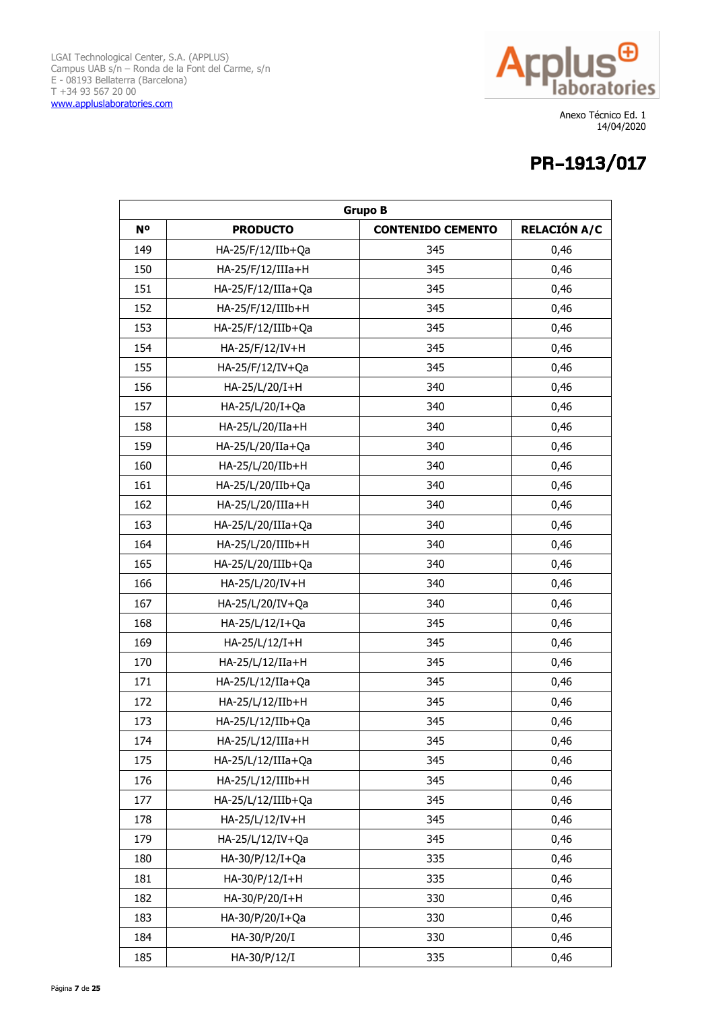

| <b>Grupo B</b> |                     |                          |                     |
|----------------|---------------------|--------------------------|---------------------|
| <b>N°</b>      | <b>PRODUCTO</b>     | <b>CONTENIDO CEMENTO</b> | <b>RELACIÓN A/C</b> |
| 149            | HA-25/F/12/IIb+Qa   | 345                      | 0,46                |
| 150            | HA-25/F/12/IIIa+H   | 345                      | 0,46                |
| 151            | HA-25/F/12/IIIa+Qa  | 345                      | 0,46                |
| 152            | HA-25/F/12/IIIb+H   | 345                      | 0,46                |
| 153            | HA-25/F/12/IIIb+Qa  | 345                      | 0,46                |
| 154            | HA-25/F/12/IV+H     | 345                      | 0,46                |
| 155            | HA-25/F/12/IV+Qa    | 345                      | 0,46                |
| 156            | HA-25/L/20/I+H      | 340                      | 0,46                |
| 157            | HA-25/L/20/I+Qa     | 340                      | 0,46                |
| 158            | HA-25/L/20/IIa+H    | 340                      | 0,46                |
| 159            | HA-25/L/20/IIa+Qa   | 340                      | 0,46                |
| 160            | HA-25/L/20/IIb+H    | 340                      | 0,46                |
| 161            | HA-25/L/20/IIb+Qa   | 340                      | 0,46                |
| 162            | HA-25/L/20/IIIa+H   | 340                      | 0,46                |
| 163            | HA-25/L/20/IIIa+Qa  | 340                      | 0,46                |
| 164            | HA-25/L/20/IIIb+H   | 340                      | 0,46                |
| 165            | HA-25/L/20/IIIb+Qa  | 340                      | 0,46                |
| 166            | HA-25/L/20/IV+H     | 340                      | 0,46                |
| 167            | HA-25/L/20/IV+Qa    | 340                      | 0,46                |
| 168            | HA-25/L/12/I+Qa     | 345                      | 0,46                |
| 169            | HA-25/L/12/I+H      | 345                      | 0,46                |
| 170            | HA-25/L/12/IIa+H    | 345                      | 0,46                |
| 171            | HA-25/L/12/IIa+Qa   | 345                      | 0,46                |
| 172            | HA-25/L/12/IIb+H    | 345                      | 0,46                |
| 173            | HA-25/L/12/IIb+Qa   | 345                      | 0,46                |
| 174            | $HA-25/L/12/IIIa+H$ | 345                      | 0,46                |
| 175            | HA-25/L/12/IIIa+Qa  | 345                      | 0,46                |
| 176            | HA-25/L/12/IIIb+H   | 345                      | 0,46                |
| 177            | HA-25/L/12/IIIb+Qa  | 345                      | 0,46                |
| 178            | HA-25/L/12/IV+H     | 345                      | 0,46                |
| 179            | HA-25/L/12/IV+Qa    | 345                      | 0,46                |
| 180            | HA-30/P/12/I+Qa     | 335                      | 0,46                |
| 181            | HA-30/P/12/I+H      | 335                      | 0,46                |
| 182            | HA-30/P/20/I+H      | 330                      | 0,46                |
| 183            | HA-30/P/20/I+Qa     | 330                      | 0,46                |
| 184            | HA-30/P/20/I        | 330                      | 0,46                |
| 185            | HA-30/P/12/I        | 335                      | 0,46                |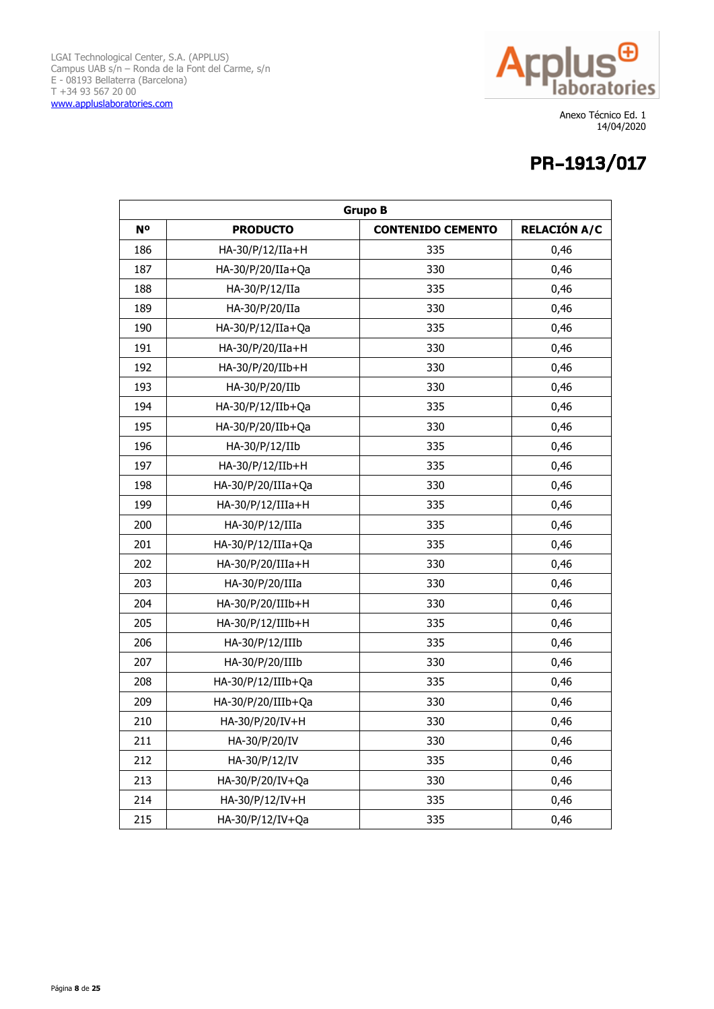

| <b>Grupo B</b> |                    |                          |                     |
|----------------|--------------------|--------------------------|---------------------|
| N <sup>o</sup> | <b>PRODUCTO</b>    | <b>CONTENIDO CEMENTO</b> | <b>RELACIÓN A/C</b> |
| 186            | HA-30/P/12/IIa+H   | 335                      | 0,46                |
| 187            | HA-30/P/20/IIa+Qa  | 330                      | 0,46                |
| 188            | HA-30/P/12/IIa     | 335                      | 0,46                |
| 189            | HA-30/P/20/IIa     | 330                      | 0,46                |
| 190            | HA-30/P/12/IIa+Qa  | 335                      | 0,46                |
| 191            | HA-30/P/20/IIa+H   | 330                      | 0,46                |
| 192            | HA-30/P/20/IIb+H   | 330                      | 0,46                |
| 193            | HA-30/P/20/IIb     | 330                      | 0,46                |
| 194            | HA-30/P/12/IIb+Qa  | 335                      | 0,46                |
| 195            | HA-30/P/20/IIb+Qa  | 330                      | 0,46                |
| 196            | HA-30/P/12/IIb     | 335                      | 0,46                |
| 197            | HA-30/P/12/IIb+H   | 335                      | 0,46                |
| 198            | HA-30/P/20/IIIa+Qa | 330                      | 0,46                |
| 199            | HA-30/P/12/IIIa+H  | 335                      | 0,46                |
| 200            | HA-30/P/12/IIIa    | 335                      | 0,46                |
| 201            | HA-30/P/12/IIIa+Qa | 335                      | 0,46                |
| 202            | HA-30/P/20/IIIa+H  | 330                      | 0,46                |
| 203            | HA-30/P/20/IIIa    | 330                      | 0,46                |
| 204            | HA-30/P/20/IIIb+H  | 330                      | 0,46                |
| 205            | HA-30/P/12/IIIb+H  | 335                      | 0,46                |
| 206            | HA-30/P/12/IIIb    | 335                      | 0,46                |
| 207            | HA-30/P/20/IIIb    | 330                      | 0,46                |
| 208            | HA-30/P/12/IIIb+Qa | 335                      | 0,46                |
| 209            | HA-30/P/20/IIIb+Qa | 330                      | 0,46                |
| 210            | HA-30/P/20/IV+H    | 330                      | 0,46                |
| 211            | HA-30/P/20/IV      | 330                      | 0,46                |
| 212            | HA-30/P/12/IV      | 335                      | 0,46                |
| 213            | HA-30/P/20/IV+Qa   | 330                      | 0,46                |
| 214            | HA-30/P/12/IV+H    | 335                      | 0,46                |
| 215            | HA-30/P/12/IV+Qa   | 335                      | 0,46                |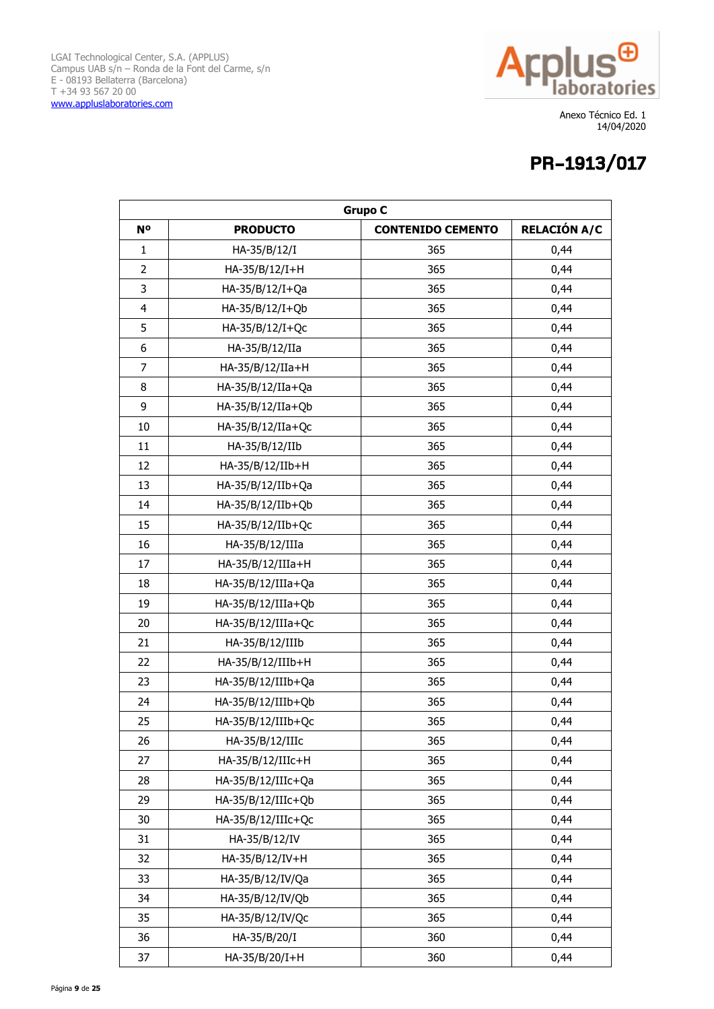

| <b>Grupo C</b> |                      |                          |                     |
|----------------|----------------------|--------------------------|---------------------|
| N <sup>o</sup> | <b>PRODUCTO</b>      | <b>CONTENIDO CEMENTO</b> | <b>RELACIÓN A/C</b> |
| $\mathbf{1}$   | HA-35/B/12/I         | 365                      | 0,44                |
| $\overline{2}$ | HA-35/B/12/I+H       | 365                      | 0,44                |
| 3              | HA-35/B/12/I+Qa      | 365                      | 0,44                |
| $\overline{4}$ | HA-35/B/12/I+Qb      | 365                      | 0,44                |
| 5              | HA-35/B/12/I+Qc      | 365                      | 0,44                |
| 6              | HA-35/B/12/IIa       | 365                      | 0,44                |
| 7              | HA-35/B/12/IIa+H     | 365                      | 0,44                |
| 8              | HA-35/B/12/IIa+Qa    | 365                      | 0,44                |
| 9              | HA-35/B/12/IIa+Qb    | 365                      | 0,44                |
| 10             | HA-35/B/12/IIa+Qc    | 365                      | 0,44                |
| 11             | HA-35/B/12/IIb       | 365                      | 0,44                |
| 12             | HA-35/B/12/IIb+H     | 365                      | 0,44                |
| 13             | HA-35/B/12/IIb+Qa    | 365                      | 0,44                |
| 14             | HA-35/B/12/IIb+Qb    | 365                      | 0,44                |
| 15             | HA-35/B/12/IIb+Qc    | 365                      | 0,44                |
| 16             | HA-35/B/12/IIIa      | 365                      | 0,44                |
| 17             | HA-35/B/12/IIIa+H    | 365                      | 0,44                |
| 18             | HA-35/B/12/IIIa+Qa   | 365                      | 0,44                |
| 19             | $HA-35/B/12/IIIa+Qb$ | 365                      | 0,44                |
| 20             | HA-35/B/12/IIIa+Qc   | 365                      | 0,44                |
| 21             | HA-35/B/12/IIIb      | 365                      | 0,44                |
| 22             | HA-35/B/12/IIIb+H    | 365                      | 0,44                |
| 23             | HA-35/B/12/IIIb+Qa   | 365                      | 0,44                |
| 24             | HA-35/B/12/IIIb+Qb   | 365                      | 0,44                |
| 25             | HA-35/B/12/IIIb+Qc   | 365                      | 0,44                |
| 26             | $HA-35/B/12/IIIc$    | 365                      | 0,44                |
| 27             | HA-35/B/12/IIIc+H    | 365                      | 0,44                |
| 28             | HA-35/B/12/IIIc+Qa   | 365                      | 0,44                |
| 29             | HA-35/B/12/IIIc+Qb   | 365                      | 0,44                |
| 30             | HA-35/B/12/IIIc+Qc   | 365                      | 0,44                |
| 31             | HA-35/B/12/IV        | 365                      | 0,44                |
| 32             | HA-35/B/12/IV+H      | 365                      | 0,44                |
| 33             | HA-35/B/12/IV/Qa     | 365                      | 0,44                |
| 34             | HA-35/B/12/IV/Qb     | 365                      | 0,44                |
| 35             | HA-35/B/12/IV/Qc     | 365                      | 0,44                |
| 36             | HA-35/B/20/I         | 360                      | 0,44                |
| 37             | HA-35/B/20/I+H       | 360                      | 0,44                |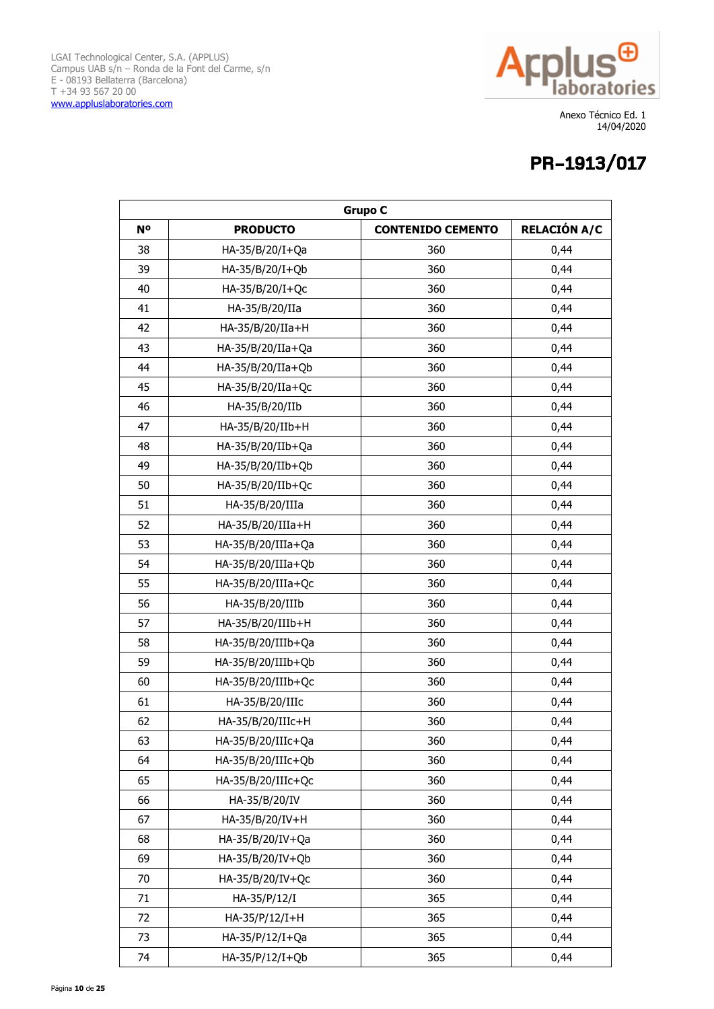

| <b>Grupo C</b> |                      |                          |                     |
|----------------|----------------------|--------------------------|---------------------|
| N <sup>o</sup> | <b>PRODUCTO</b>      | <b>CONTENIDO CEMENTO</b> | <b>RELACIÓN A/C</b> |
| 38             | HA-35/B/20/I+Qa      | 360                      | 0,44                |
| 39             | HA-35/B/20/I+Qb      | 360                      | 0,44                |
| 40             | HA-35/B/20/I+Qc      | 360                      | 0,44                |
| 41             | HA-35/B/20/IIa       | 360                      | 0,44                |
| 42             | HA-35/B/20/IIa+H     | 360                      | 0,44                |
| 43             | HA-35/B/20/IIa+Qa    | 360                      | 0,44                |
| 44             | HA-35/B/20/IIa+Qb    | 360                      | 0,44                |
| 45             | HA-35/B/20/IIa+Qc    | 360                      | 0,44                |
| 46             | HA-35/B/20/IIb       | 360                      | 0,44                |
| 47             | HA-35/B/20/IIb+H     | 360                      | 0,44                |
| 48             | HA-35/B/20/IIb+Qa    | 360                      | 0,44                |
| 49             | HA-35/B/20/IIb+Qb    | 360                      | 0,44                |
| 50             | HA-35/B/20/IIb+Qc    | 360                      | 0,44                |
| 51             | HA-35/B/20/IIIa      | 360                      | 0,44                |
| 52             | HA-35/B/20/IIIa+H    | 360                      | 0,44                |
| 53             | HA-35/B/20/IIIa+Qa   | 360                      | 0,44                |
| 54             | $HA-35/B/20/IIIa+Qb$ | 360                      | 0,44                |
| 55             | HA-35/B/20/IIIa+Qc   | 360                      | 0,44                |
| 56             | HA-35/B/20/IIIb      | 360                      | 0,44                |
| 57             | HA-35/B/20/IIIb+H    | 360                      | 0,44                |
| 58             | HA-35/B/20/IIIb+Qa   | 360                      | 0,44                |
| 59             | HA-35/B/20/IIIb+Qb   | 360                      | 0,44                |
| 60             | HA-35/B/20/IIIb+Qc   | 360                      | 0,44                |
| 61             | HA-35/B/20/IIIc      | 360                      | 0,44                |
| 62             | HA-35/B/20/IIIc+H    | 360                      | 0,44                |
| 63             | $HA-35/B/20/IIIc+Qa$ | 360                      | 0,44                |
| 64             | HA-35/B/20/IIIc+Qb   | 360                      | 0,44                |
| 65             | HA-35/B/20/IIIc+Qc   | 360                      | 0,44                |
| 66             | HA-35/B/20/IV        | 360                      | 0,44                |
| 67             | HA-35/B/20/IV+H      | 360                      | 0,44                |
| 68             | HA-35/B/20/IV+Qa     | 360                      | 0,44                |
| 69             | HA-35/B/20/IV+Qb     | 360                      | 0,44                |
| 70             | HA-35/B/20/IV+Qc     | 360                      | 0,44                |
| 71             | HA-35/P/12/I         | 365                      | 0,44                |
| 72             | HA-35/P/12/I+H       | 365                      | 0,44                |
| 73             | HA-35/P/12/I+Qa      | 365                      | 0,44                |
| 74             | HA-35/P/12/I+Qb      | 365                      | 0,44                |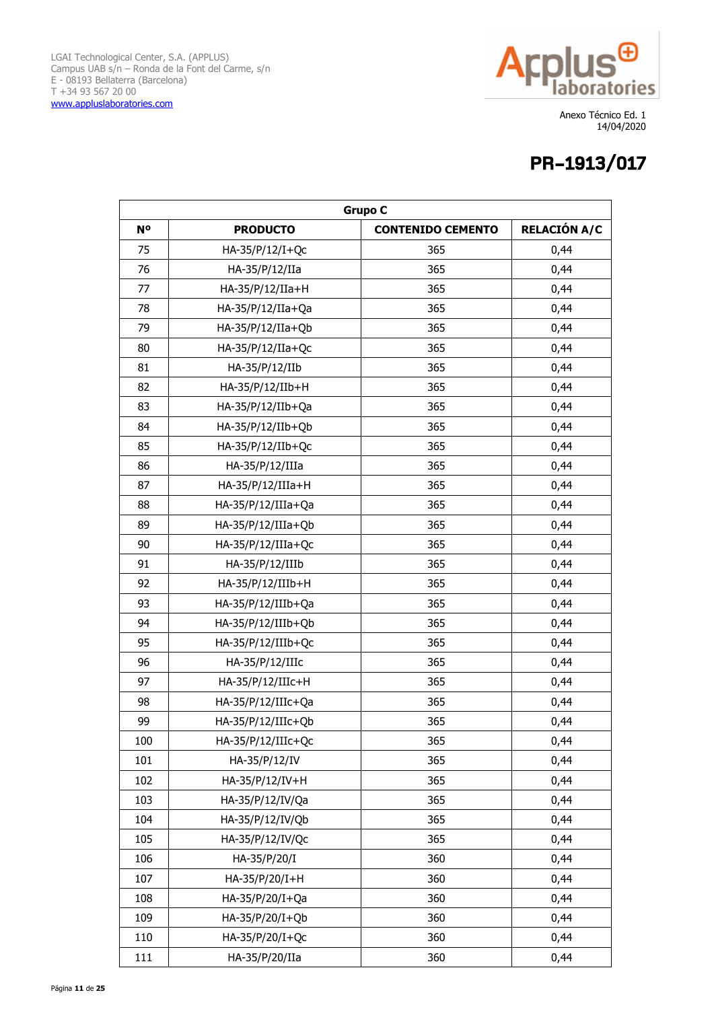

| <b>Grupo C</b> |                      |                          |                     |
|----------------|----------------------|--------------------------|---------------------|
| N <sup>o</sup> | <b>PRODUCTO</b>      | <b>CONTENIDO CEMENTO</b> | <b>RELACIÓN A/C</b> |
| 75             | HA-35/P/12/I+Qc      | 365                      | 0,44                |
| 76             | HA-35/P/12/IIa       | 365                      | 0,44                |
| 77             | HA-35/P/12/IIa+H     | 365                      | 0,44                |
| 78             | HA-35/P/12/IIa+Qa    | 365                      | 0,44                |
| 79             | HA-35/P/12/IIa+Qb    | 365                      | 0,44                |
| 80             | HA-35/P/12/IIa+Qc    | 365                      | 0,44                |
| 81             | HA-35/P/12/IIb       | 365                      | 0,44                |
| 82             | HA-35/P/12/IIb+H     | 365                      | 0,44                |
| 83             | HA-35/P/12/IIb+Qa    | 365                      | 0,44                |
| 84             | HA-35/P/12/IIb+Qb    | 365                      | 0,44                |
| 85             | HA-35/P/12/IIb+Qc    | 365                      | 0,44                |
| 86             | HA-35/P/12/IIIa      | 365                      | 0,44                |
| 87             | HA-35/P/12/IIIa+H    | 365                      | 0,44                |
| 88             | HA-35/P/12/IIIa+Qa   | 365                      | 0,44                |
| 89             | HA-35/P/12/IIIa+Qb   | 365                      | 0,44                |
| 90             | HA-35/P/12/IIIa+Qc   | 365                      | 0,44                |
| 91             | HA-35/P/12/IIIb      | 365                      | 0,44                |
| 92             | HA-35/P/12/IIIb+H    | 365                      | 0,44                |
| 93             | HA-35/P/12/IIIb+Qa   | 365                      | 0,44                |
| 94             | HA-35/P/12/IIIb+Qb   | 365                      | 0,44                |
| 95             | HA-35/P/12/IIIb+Qc   | 365                      | 0,44                |
| 96             | HA-35/P/12/IIIc      | 365                      | 0,44                |
| 97             | HA-35/P/12/IIIc+H    | 365                      | 0,44                |
| 98             | HA-35/P/12/IIIc+Qa   | 365                      | 0,44                |
| 99             | HA-35/P/12/IIIc+Qb   | 365                      | 0,44                |
| 100            | $HA-35/P/12/IIIC+QC$ | 365                      | 0,44                |
| 101            | HA-35/P/12/IV        | 365                      | 0,44                |
| 102            | HA-35/P/12/IV+H      | 365                      | 0,44                |
| 103            | HA-35/P/12/IV/Qa     | 365                      | 0,44                |
| 104            | HA-35/P/12/IV/Qb     | 365                      | 0,44                |
| 105            | HA-35/P/12/IV/Qc     | 365                      | 0,44                |
| 106            | HA-35/P/20/I         | 360                      | 0,44                |
| 107            | HA-35/P/20/I+H       | 360                      | 0,44                |
| 108            | HA-35/P/20/I+Qa      | 360                      | 0,44                |
| 109            | HA-35/P/20/I+Qb      | 360                      | 0,44                |
| 110            | HA-35/P/20/I+Qc      | 360                      | 0,44                |
| 111            | HA-35/P/20/IIa       | 360                      | 0,44                |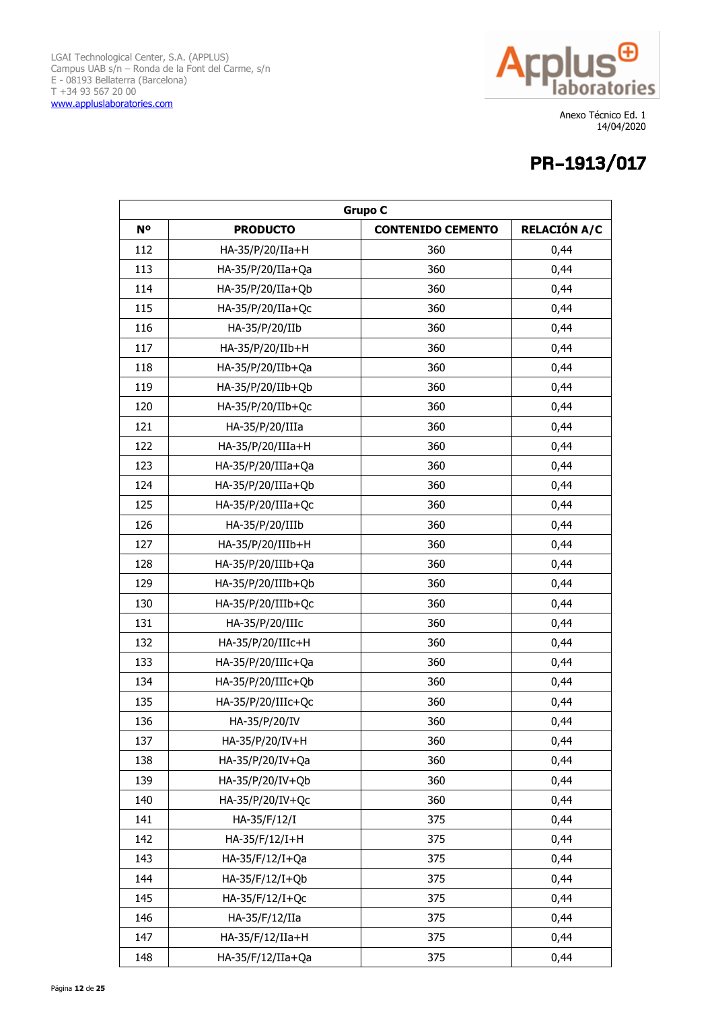

| <b>Grupo C</b> |                      |                          |                     |
|----------------|----------------------|--------------------------|---------------------|
| <b>No</b>      | <b>PRODUCTO</b>      | <b>CONTENIDO CEMENTO</b> | <b>RELACIÓN A/C</b> |
| 112            | HA-35/P/20/IIa+H     | 360                      | 0,44                |
| 113            | HA-35/P/20/IIa+Qa    | 360                      | 0,44                |
| 114            | HA-35/P/20/IIa+Qb    | 360                      | 0,44                |
| 115            | HA-35/P/20/IIa+Qc    | 360                      | 0,44                |
| 116            | HA-35/P/20/IIb       | 360                      | 0,44                |
| 117            | HA-35/P/20/IIb+H     | 360                      | 0,44                |
| 118            | HA-35/P/20/IIb+Qa    | 360                      | 0,44                |
| 119            | HA-35/P/20/IIb+Qb    | 360                      | 0,44                |
| 120            | HA-35/P/20/IIb+Qc    | 360                      | 0,44                |
| 121            | HA-35/P/20/IIIa      | 360                      | 0,44                |
| 122            | HA-35/P/20/IIIa+H    | 360                      | 0,44                |
| 123            | $HA-35/P/20/IIIa+Qa$ | 360                      | 0,44                |
| 124            | HA-35/P/20/IIIa+Qb   | 360                      | 0,44                |
| 125            | HA-35/P/20/IIIa+Qc   | 360                      | 0,44                |
| 126            | HA-35/P/20/IIIb      | 360                      | 0,44                |
| 127            | HA-35/P/20/IIIb+H    | 360                      | 0,44                |
| 128            | HA-35/P/20/IIIb+Qa   | 360                      | 0,44                |
| 129            | HA-35/P/20/IIIb+Qb   | 360                      | 0,44                |
| 130            | HA-35/P/20/IIIb+Qc   | 360                      | 0,44                |
| 131            | HA-35/P/20/IIIc      | 360                      | 0,44                |
| 132            | HA-35/P/20/IIIc+H    | 360                      | 0,44                |
| 133            | HA-35/P/20/IIIc+Qa   | 360                      | 0,44                |
| 134            | HA-35/P/20/IIIc+Qb   | 360                      | 0,44                |
| 135            | HA-35/P/20/IIIc+Qc   | 360                      | 0,44                |
| 136            | HA-35/P/20/IV        | 360                      | 0,44                |
| 137            | $HA-35/P/20/IV+H$    | 360                      | 0,44                |
| 138            | HA-35/P/20/IV+Qa     | 360                      | 0,44                |
| 139            | HA-35/P/20/IV+Qb     | 360                      | 0,44                |
| 140            | HA-35/P/20/IV+Qc     | 360                      | 0,44                |
| 141            | HA-35/F/12/I         | 375                      | 0,44                |
| 142            | HA-35/F/12/I+H       | 375                      | 0,44                |
| 143            | HA-35/F/12/I+Qa      | 375                      | 0,44                |
| 144            | HA-35/F/12/I+Qb      | 375                      | 0,44                |
| 145            | HA-35/F/12/I+Qc      | 375                      | 0,44                |
| 146            | HA-35/F/12/IIa       | 375                      | 0,44                |
| 147            | HA-35/F/12/IIa+H     | 375                      | 0,44                |
| 148            | HA-35/F/12/IIa+Qa    | 375                      | 0,44                |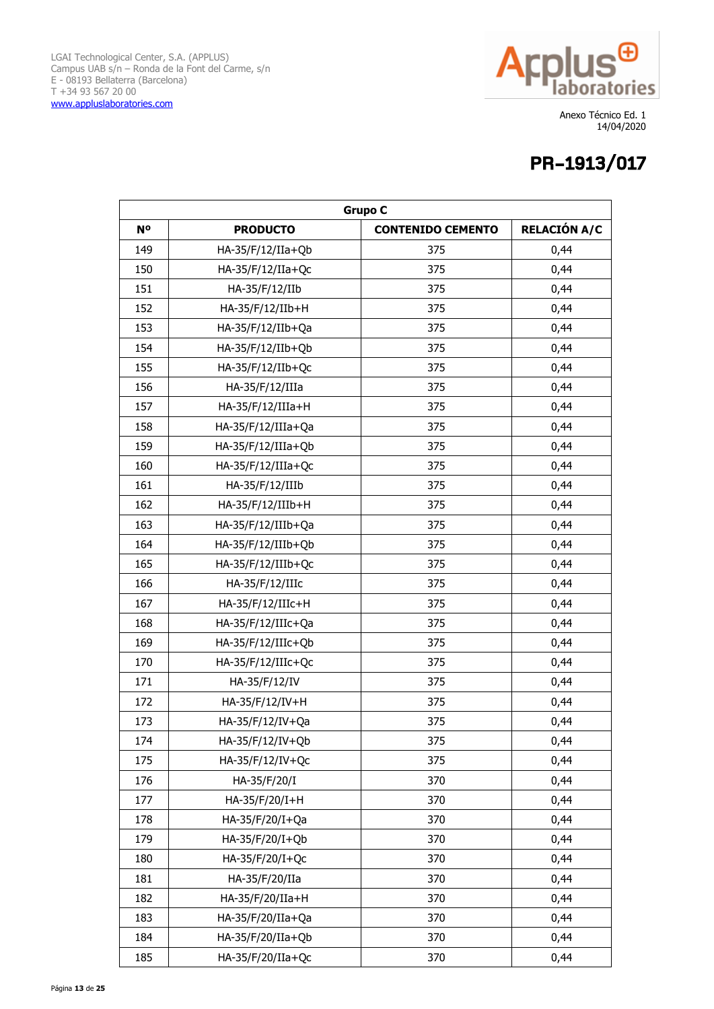

| <b>Grupo C</b> |                      |                          |                     |
|----------------|----------------------|--------------------------|---------------------|
| N <sup>o</sup> | <b>PRODUCTO</b>      | <b>CONTENIDO CEMENTO</b> | <b>RELACIÓN A/C</b> |
| 149            | HA-35/F/12/IIa+Qb    | 375                      | 0,44                |
| 150            | HA-35/F/12/IIa+Qc    | 375                      | 0,44                |
| 151            | HA-35/F/12/IIb       | 375                      | 0,44                |
| 152            | HA-35/F/12/IIb+H     | 375                      | 0,44                |
| 153            | HA-35/F/12/IIb+Qa    | 375                      | 0,44                |
| 154            | HA-35/F/12/IIb+Qb    | 375                      | 0,44                |
| 155            | HA-35/F/12/IIb+Qc    | 375                      | 0,44                |
| 156            | HA-35/F/12/IIIa      | 375                      | 0,44                |
| 157            | HA-35/F/12/IIIa+H    | 375                      | 0,44                |
| 158            | HA-35/F/12/IIIa+Qa   | 375                      | 0,44                |
| 159            | $HA-35/F/12/IIIa+Qb$ | 375                      | 0,44                |
| 160            | HA-35/F/12/IIIa+Qc   | 375                      | 0,44                |
| 161            | HA-35/F/12/IIIb      | 375                      | 0,44                |
| 162            | HA-35/F/12/IIIb+H    | 375                      | 0,44                |
| 163            | HA-35/F/12/IIIb+Qa   | 375                      | 0,44                |
| 164            | HA-35/F/12/IIIb+Qb   | 375                      | 0,44                |
| 165            | HA-35/F/12/IIIb+Qc   | 375                      | 0,44                |
| 166            | HA-35/F/12/IIIc      | 375                      | 0,44                |
| 167            | HA-35/F/12/IIIc+H    | 375                      | 0,44                |
| 168            | HA-35/F/12/IIIc+Qa   | 375                      | 0,44                |
| 169            | HA-35/F/12/IIIc+Qb   | 375                      | 0,44                |
| 170            | HA-35/F/12/IIIc+Qc   | 375                      | 0,44                |
| 171            | HA-35/F/12/IV        | 375                      | 0,44                |
| 172            | HA-35/F/12/IV+H      | 375                      | 0,44                |
| 173            | HA-35/F/12/IV+Qa     | 375                      | 0,44                |
| 174            | HA-35/F/12/IV+Qb     | 375                      | 0,44                |
| 175            | HA-35/F/12/IV+Qc     | 375                      | 0,44                |
| 176            | HA-35/F/20/I         | 370                      | 0,44                |
| 177            | HA-35/F/20/I+H       | 370                      | 0,44                |
| 178            | HA-35/F/20/I+Qa      | 370                      | 0,44                |
| 179            | HA-35/F/20/I+Qb      | 370                      | 0,44                |
| 180            | HA-35/F/20/I+Qc      | 370                      | 0,44                |
| 181            | HA-35/F/20/IIa       | 370                      | 0,44                |
| 182            | HA-35/F/20/IIa+H     | 370                      | 0,44                |
| 183            | HA-35/F/20/IIa+Qa    | 370                      | 0,44                |
| 184            | HA-35/F/20/IIa+Qb    | 370                      | 0,44                |
| 185            | HA-35/F/20/IIa+Qc    | 370                      | 0,44                |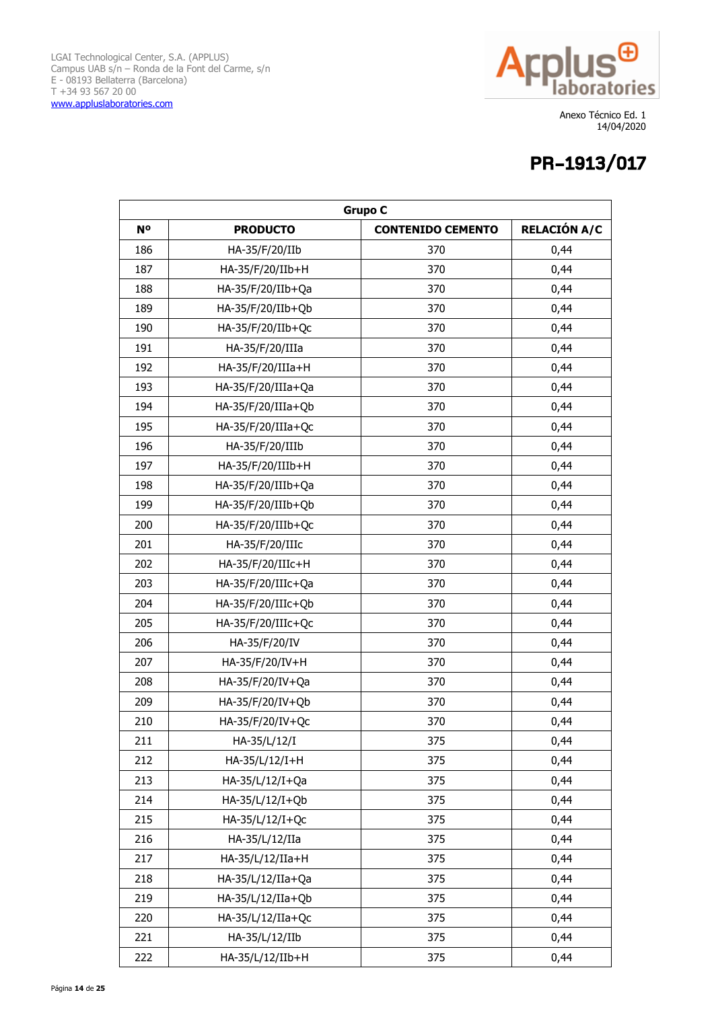

| <b>Grupo C</b> |                    |                          |                     |
|----------------|--------------------|--------------------------|---------------------|
| <b>No</b>      | <b>PRODUCTO</b>    | <b>CONTENIDO CEMENTO</b> | <b>RELACIÓN A/C</b> |
| 186            | HA-35/F/20/IIb     | 370                      | 0,44                |
| 187            | HA-35/F/20/IIb+H   | 370                      | 0,44                |
| 188            | HA-35/F/20/IIb+Qa  | 370                      | 0,44                |
| 189            | HA-35/F/20/IIb+Qb  | 370                      | 0,44                |
| 190            | HA-35/F/20/IIb+Qc  | 370                      | 0,44                |
| 191            | HA-35/F/20/IIIa    | 370                      | 0,44                |
| 192            | HA-35/F/20/IIIa+H  | 370                      | 0,44                |
| 193            | HA-35/F/20/IIIa+Qa | 370                      | 0,44                |
| 194            | HA-35/F/20/IIIa+Qb | 370                      | 0,44                |
| 195            | HA-35/F/20/IIIa+Qc | 370                      | 0,44                |
| 196            | HA-35/F/20/IIIb    | 370                      | 0,44                |
| 197            | HA-35/F/20/IIIb+H  | 370                      | 0,44                |
| 198            | HA-35/F/20/IIIb+Qa | 370                      | 0,44                |
| 199            | HA-35/F/20/IIIb+Qb | 370                      | 0,44                |
| 200            | HA-35/F/20/IIIb+Qc | 370                      | 0,44                |
| 201            | HA-35/F/20/IIIc    | 370                      | 0,44                |
| 202            | HA-35/F/20/IIIc+H  | 370                      | 0,44                |
| 203            | HA-35/F/20/IIIc+Qa | 370                      | 0,44                |
| 204            | HA-35/F/20/IIIc+Qb | 370                      | 0,44                |
| 205            | HA-35/F/20/IIIc+Qc | 370                      | 0,44                |
| 206            | HA-35/F/20/IV      | 370                      | 0,44                |
| 207            | HA-35/F/20/IV+H    | 370                      | 0,44                |
| 208            | HA-35/F/20/IV+Qa   | 370                      | 0,44                |
| 209            | HA-35/F/20/IV+Qb   | 370                      | 0,44                |
| 210            | HA-35/F/20/IV+Qc   | 370                      | 0,44                |
| 211            | HA-35/L/12/I       | 375                      | 0,44                |
| 212            | HA-35/L/12/I+H     | 375                      | 0,44                |
| 213            | HA-35/L/12/I+Qa    | 375                      | 0,44                |
| 214            | HA-35/L/12/I+Qb    | 375                      | 0,44                |
| 215            | HA-35/L/12/I+Qc    | 375                      | 0,44                |
| 216            | HA-35/L/12/IIa     | 375                      | 0,44                |
| 217            | HA-35/L/12/IIa+H   | 375                      | 0,44                |
| 218            | HA-35/L/12/IIa+Qa  | 375                      | 0,44                |
| 219            | HA-35/L/12/IIa+Qb  | 375                      | 0,44                |
| 220            | HA-35/L/12/IIa+Qc  | 375                      | 0,44                |
| 221            | HA-35/L/12/IIb     | 375                      | 0,44                |
| 222            | HA-35/L/12/IIb+H   | 375                      | 0,44                |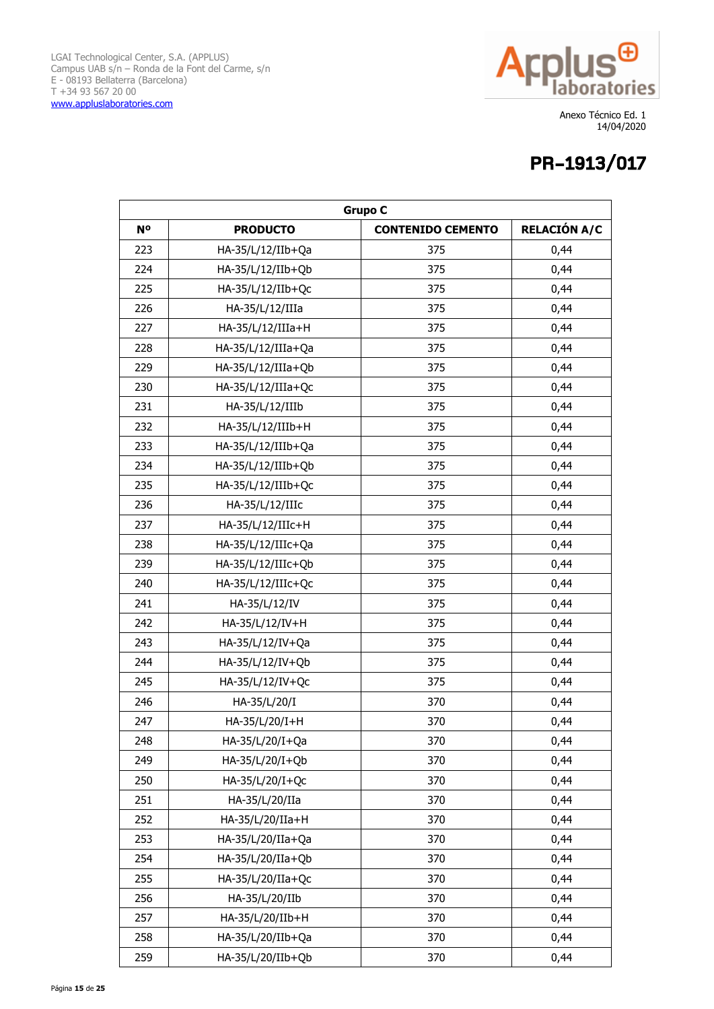

| <b>Grupo C</b> |                    |                          |                     |
|----------------|--------------------|--------------------------|---------------------|
| N <sup>o</sup> | <b>PRODUCTO</b>    | <b>CONTENIDO CEMENTO</b> | <b>RELACIÓN A/C</b> |
| 223            | HA-35/L/12/IIb+Qa  | 375                      | 0,44                |
| 224            | HA-35/L/12/IIb+Qb  | 375                      | 0,44                |
| 225            | HA-35/L/12/IIb+Qc  | 375                      | 0,44                |
| 226            | HA-35/L/12/IIIa    | 375                      | 0,44                |
| 227            | HA-35/L/12/IIIa+H  | 375                      | 0,44                |
| 228            | HA-35/L/12/IIIa+Qa | 375                      | 0,44                |
| 229            | HA-35/L/12/IIIa+Qb | 375                      | 0,44                |
| 230            | HA-35/L/12/IIIa+Qc | 375                      | 0,44                |
| 231            | HA-35/L/12/IIIb    | 375                      | 0,44                |
| 232            | HA-35/L/12/IIIb+H  | 375                      | 0,44                |
| 233            | HA-35/L/12/IIIb+Qa | 375                      | 0,44                |
| 234            | HA-35/L/12/IIIb+Qb | 375                      | 0,44                |
| 235            | HA-35/L/12/IIIb+Qc | 375                      | 0,44                |
| 236            | HA-35/L/12/IIIc    | 375                      | 0,44                |
| 237            | HA-35/L/12/IIIc+H  | 375                      | 0,44                |
| 238            | HA-35/L/12/IIIc+Qa | 375                      | 0,44                |
| 239            | HA-35/L/12/IIIc+Qb | 375                      | 0,44                |
| 240            | HA-35/L/12/IIIc+Qc | 375                      | 0,44                |
| 241            | HA-35/L/12/IV      | 375                      | 0,44                |
| 242            | HA-35/L/12/IV+H    | 375                      | 0,44                |
| 243            | HA-35/L/12/IV+Qa   | 375                      | 0,44                |
| 244            | HA-35/L/12/IV+Qb   | 375                      | 0,44                |
| 245            | HA-35/L/12/IV+Qc   | 375                      | 0,44                |
| 246            | HA-35/L/20/I       | 370                      | 0,44                |
| 247            | HA-35/L/20/I+H     | 370                      | 0,44                |
| 248            | HA-35/L/20/I+Qa    | 370                      | 0,44                |
| 249            | HA-35/L/20/I+Qb    | 370                      | 0,44                |
| 250            | HA-35/L/20/I+Qc    | 370                      | 0,44                |
| 251            | HA-35/L/20/IIa     | 370                      | 0,44                |
| 252            | HA-35/L/20/IIa+H   | 370                      | 0,44                |
| 253            | HA-35/L/20/IIa+Qa  | 370                      | 0,44                |
| 254            | HA-35/L/20/IIa+Qb  | 370                      | 0,44                |
| 255            | HA-35/L/20/IIa+Qc  | 370                      | 0,44                |
| 256            | HA-35/L/20/IIb     | 370                      | 0,44                |
| 257            | HA-35/L/20/IIb+H   | 370                      | 0,44                |
| 258            | HA-35/L/20/IIb+Qa  | 370                      | 0,44                |
| 259            | HA-35/L/20/IIb+Qb  | 370                      | 0,44                |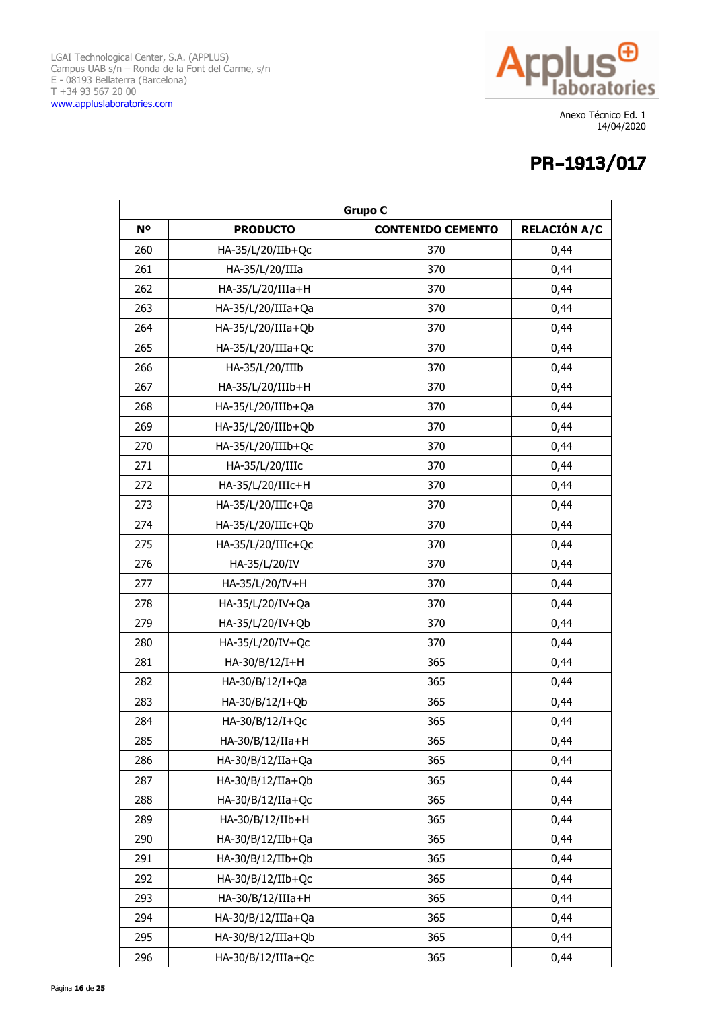

| <b>Grupo C</b> |                    |                          |                     |
|----------------|--------------------|--------------------------|---------------------|
| <b>No</b>      | <b>PRODUCTO</b>    | <b>CONTENIDO CEMENTO</b> | <b>RELACIÓN A/C</b> |
| 260            | HA-35/L/20/IIb+Qc  | 370                      | 0,44                |
| 261            | HA-35/L/20/IIIa    | 370                      | 0,44                |
| 262            | HA-35/L/20/IIIa+H  | 370                      | 0,44                |
| 263            | HA-35/L/20/IIIa+Qa | 370                      | 0,44                |
| 264            | HA-35/L/20/IIIa+Qb | 370                      | 0,44                |
| 265            | HA-35/L/20/IIIa+Qc | 370                      | 0,44                |
| 266            | HA-35/L/20/IIIb    | 370                      | 0,44                |
| 267            | HA-35/L/20/IIIb+H  | 370                      | 0,44                |
| 268            | HA-35/L/20/IIIb+Qa | 370                      | 0,44                |
| 269            | HA-35/L/20/IIIb+Qb | 370                      | 0,44                |
| 270            | HA-35/L/20/IIIb+Qc | 370                      | 0,44                |
| 271            | HA-35/L/20/IIIc    | 370                      | 0,44                |
| 272            | HA-35/L/20/IIIc+H  | 370                      | 0,44                |
| 273            | HA-35/L/20/IIIc+Qa | 370                      | 0,44                |
| 274            | HA-35/L/20/IIIc+Qb | 370                      | 0,44                |
| 275            | HA-35/L/20/IIIc+Qc | 370                      | 0,44                |
| 276            | HA-35/L/20/IV      | 370                      | 0,44                |
| 277            | HA-35/L/20/IV+H    | 370                      | 0,44                |
| 278            | HA-35/L/20/IV+Qa   | 370                      | 0,44                |
| 279            | HA-35/L/20/IV+Qb   | 370                      | 0,44                |
| 280            | HA-35/L/20/IV+Qc   | 370                      | 0,44                |
| 281            | HA-30/B/12/I+H     | 365                      | 0,44                |
| 282            | HA-30/B/12/I+Qa    | 365                      | 0,44                |
| 283            | HA-30/B/12/I+Qb    | 365                      | 0,44                |
| 284            | HA-30/B/12/I+Qc    | 365                      | 0,44                |
| 285            | HA-30/B/12/IIa+H   | 365                      | 0,44                |
| 286            | HA-30/B/12/IIa+Qa  | 365                      | 0,44                |
| 287            | HA-30/B/12/IIa+Qb  | 365                      | 0,44                |
| 288            | HA-30/B/12/IIa+Qc  | 365                      | 0,44                |
| 289            | HA-30/B/12/IIb+H   | 365                      | 0,44                |
| 290            | HA-30/B/12/IIb+Qa  | 365                      | 0,44                |
| 291            | HA-30/B/12/IIb+Qb  | 365                      | 0,44                |
| 292            | HA-30/B/12/IIb+Qc  | 365                      | 0,44                |
| 293            | HA-30/B/12/IIIa+H  | 365                      | 0,44                |
| 294            | HA-30/B/12/IIIa+Qa | 365                      | 0,44                |
| 295            | HA-30/B/12/IIIa+Qb | 365                      | 0,44                |
| 296            | HA-30/B/12/IIIa+Qc | 365                      | 0,44                |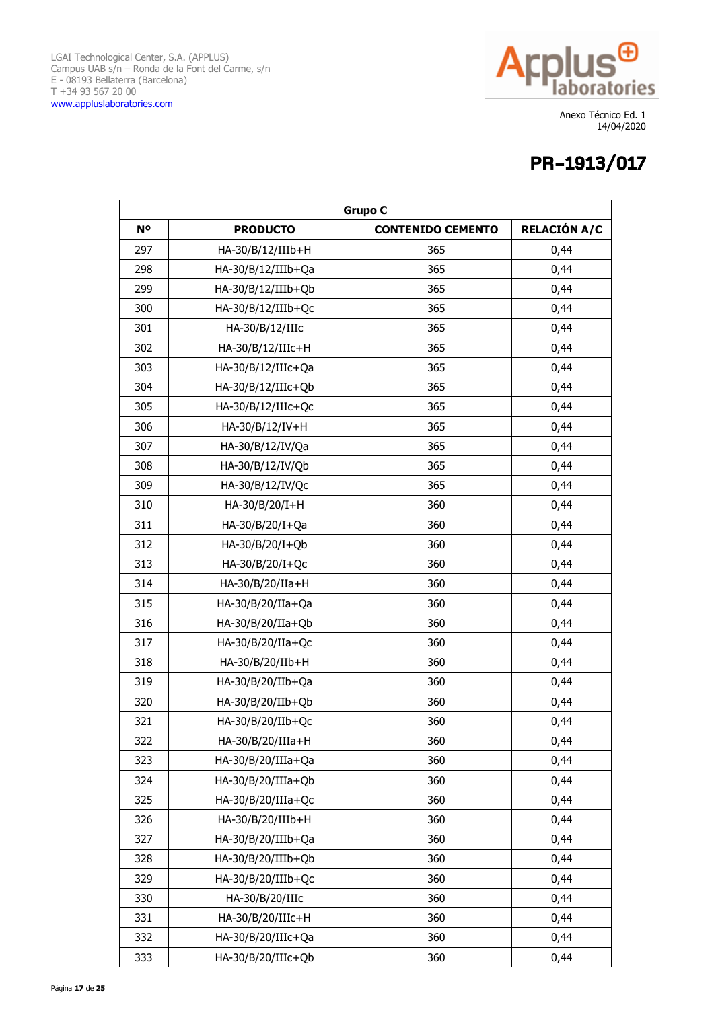

| <b>Grupo C</b> |                     |                          |                     |
|----------------|---------------------|--------------------------|---------------------|
| N <sup>o</sup> | <b>PRODUCTO</b>     | <b>CONTENIDO CEMENTO</b> | <b>RELACIÓN A/C</b> |
| 297            | HA-30/B/12/IIIb+H   | 365                      | 0,44                |
| 298            | HA-30/B/12/IIIb+Qa  | 365                      | 0,44                |
| 299            | HA-30/B/12/IIIb+Qb  | 365                      | 0,44                |
| 300            | HA-30/B/12/IIIb+Qc  | 365                      | 0,44                |
| 301            | HA-30/B/12/IIIc     | 365                      | 0,44                |
| 302            | HA-30/B/12/IIIc+H   | 365                      | 0,44                |
| 303            | HA-30/B/12/IIIc+Qa  | 365                      | 0,44                |
| 304            | HA-30/B/12/IIIc+Qb  | 365                      | 0,44                |
| 305            | HA-30/B/12/IIIc+Qc  | 365                      | 0,44                |
| 306            | HA-30/B/12/IV+H     | 365                      | 0,44                |
| 307            | HA-30/B/12/IV/Qa    | 365                      | 0,44                |
| 308            | HA-30/B/12/IV/Qb    | 365                      | 0,44                |
| 309            | HA-30/B/12/IV/Qc    | 365                      | 0,44                |
| 310            | HA-30/B/20/I+H      | 360                      | 0,44                |
| 311            | HA-30/B/20/I+Qa     | 360                      | 0,44                |
| 312            | HA-30/B/20/I+Qb     | 360                      | 0,44                |
| 313            | HA-30/B/20/I+Qc     | 360                      | 0,44                |
| 314            | HA-30/B/20/IIa+H    | 360                      | 0,44                |
| 315            | HA-30/B/20/IIa+Qa   | 360                      | 0,44                |
| 316            | HA-30/B/20/IIa+Qb   | 360                      | 0,44                |
| 317            | HA-30/B/20/IIa+Qc   | 360                      | 0,44                |
| 318            | HA-30/B/20/IIb+H    | 360                      | 0,44                |
| 319            | HA-30/B/20/IIb+Qa   | 360                      | 0,44                |
| 320            | HA-30/B/20/IIb+Qb   | 360                      | 0,44                |
| 321            | HA-30/B/20/IIb+Qc   | 360                      | 0,44                |
| 322            | $HA-30/B/20/IIIa+H$ | 360                      | 0,44                |
| 323            | HA-30/B/20/IIIa+Qa  | 360                      | 0,44                |
| 324            | HA-30/B/20/IIIa+Qb  | 360                      | 0,44                |
| 325            | HA-30/B/20/IIIa+Qc  | 360                      | 0,44                |
| 326            | HA-30/B/20/IIIb+H   | 360                      | 0,44                |
| 327            | HA-30/B/20/IIIb+Qa  | 360                      | 0,44                |
| 328            | HA-30/B/20/IIIb+Qb  | 360                      | 0,44                |
| 329            | HA-30/B/20/IIIb+Qc  | 360                      | 0,44                |
| 330            | HA-30/B/20/IIIc     | 360                      | 0,44                |
| 331            | HA-30/B/20/IIIc+H   | 360                      | 0,44                |
| 332            | HA-30/B/20/IIIc+Qa  | 360                      | 0,44                |
| 333            | HA-30/B/20/IIIc+Qb  | 360                      | 0,44                |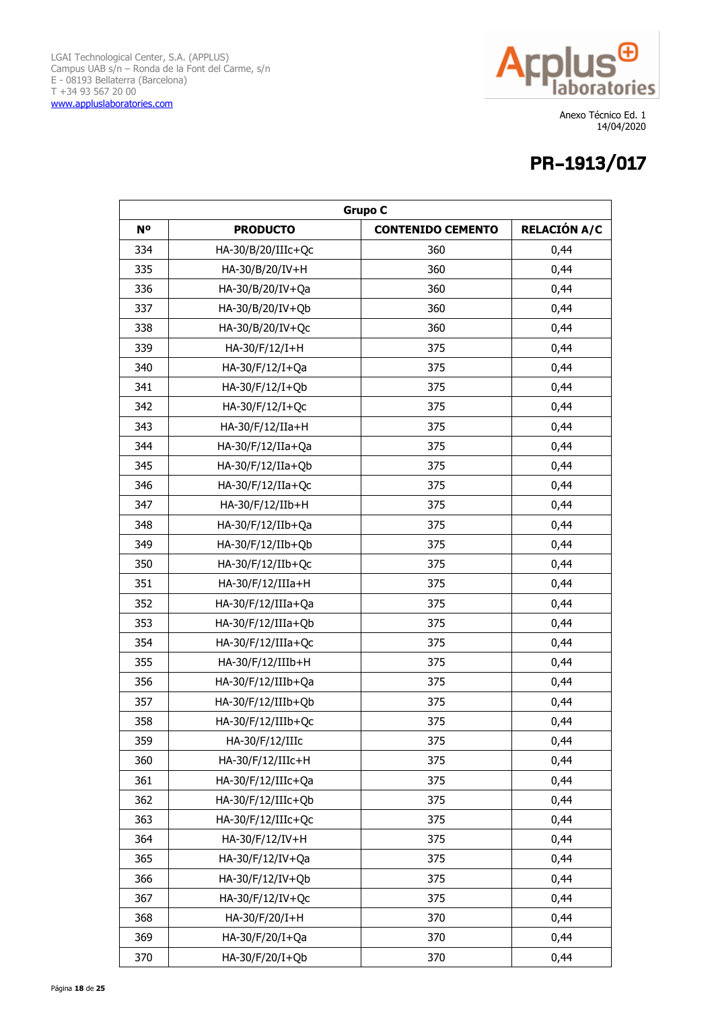

| <b>Grupo C</b> |                    |                          |                     |
|----------------|--------------------|--------------------------|---------------------|
| <b>No</b>      | <b>PRODUCTO</b>    | <b>CONTENIDO CEMENTO</b> | <b>RELACIÓN A/C</b> |
| 334            | HA-30/B/20/IIIc+Qc | 360                      | 0,44                |
| 335            | HA-30/B/20/IV+H    | 360                      | 0,44                |
| 336            | HA-30/B/20/IV+Qa   | 360                      | 0,44                |
| 337            | HA-30/B/20/IV+Qb   | 360                      | 0,44                |
| 338            | HA-30/B/20/IV+Qc   | 360                      | 0,44                |
| 339            | HA-30/F/12/I+H     | 375                      | 0,44                |
| 340            | HA-30/F/12/I+Qa    | 375                      | 0,44                |
| 341            | HA-30/F/12/I+Qb    | 375                      | 0,44                |
| 342            | HA-30/F/12/I+Qc    | 375                      | 0,44                |
| 343            | HA-30/F/12/IIa+H   | 375                      | 0,44                |
| 344            | HA-30/F/12/IIa+Qa  | 375                      | 0,44                |
| 345            | HA-30/F/12/IIa+Qb  | 375                      | 0,44                |
| 346            | HA-30/F/12/IIa+Qc  | 375                      | 0,44                |
| 347            | HA-30/F/12/IIb+H   | 375                      | 0,44                |
| 348            | HA-30/F/12/IIb+Qa  | 375                      | 0,44                |
| 349            | HA-30/F/12/IIb+Qb  | 375                      | 0,44                |
| 350            | HA-30/F/12/IIb+Qc  | 375                      | 0,44                |
| 351            | HA-30/F/12/IIIa+H  | 375                      | 0,44                |
| 352            | HA-30/F/12/IIIa+Qa | 375                      | 0,44                |
| 353            | HA-30/F/12/IIIa+Qb | 375                      | 0,44                |
| 354            | HA-30/F/12/IIIa+Qc | 375                      | 0,44                |
| 355            | HA-30/F/12/IIIb+H  | 375                      | 0,44                |
| 356            | HA-30/F/12/IIIb+Qa | 375                      | 0,44                |
| 357            | HA-30/F/12/IIIb+Qb | 375                      | 0,44                |
| 358            | HA-30/F/12/IIIb+Qc | 375                      | 0,44                |
| 359            | HA-30/F/12/IIIc    | 375                      | 0,44                |
| 360            | HA-30/F/12/IIIc+H  | 375                      | 0,44                |
| 361            | HA-30/F/12/IIIc+Qa | 375                      | 0,44                |
| 362            | HA-30/F/12/IIIc+Qb | 375                      | 0,44                |
| 363            | HA-30/F/12/IIIc+Qc | 375                      | 0,44                |
| 364            | HA-30/F/12/IV+H    | 375                      | 0,44                |
| 365            | HA-30/F/12/IV+Qa   | 375                      | 0,44                |
| 366            | HA-30/F/12/IV+Qb   | 375                      | 0,44                |
| 367            | HA-30/F/12/IV+Qc   | 375                      | 0,44                |
| 368            | HA-30/F/20/I+H     | 370                      | 0,44                |
| 369            | HA-30/F/20/I+Qa    | 370                      | 0,44                |
| 370            | HA-30/F/20/I+Qb    | 370                      | 0,44                |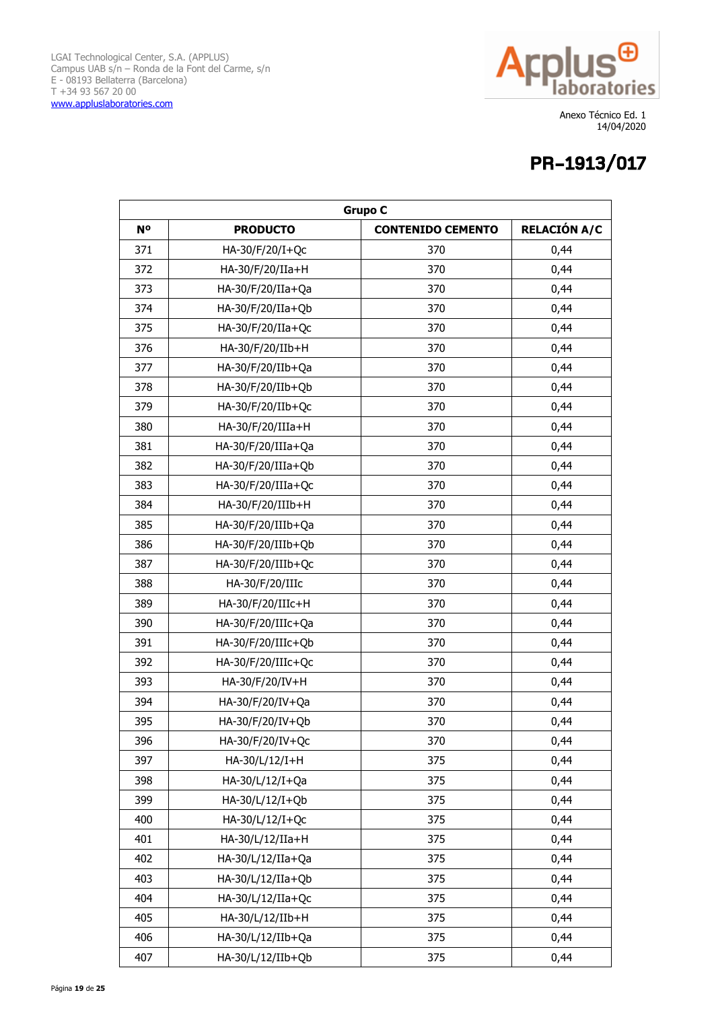

| <b>Grupo C</b> |                    |                          |                     |
|----------------|--------------------|--------------------------|---------------------|
| N <sup>o</sup> | <b>PRODUCTO</b>    | <b>CONTENIDO CEMENTO</b> | <b>RELACIÓN A/C</b> |
| 371            | HA-30/F/20/I+Qc    | 370                      | 0,44                |
| 372            | HA-30/F/20/IIa+H   | 370                      | 0,44                |
| 373            | HA-30/F/20/IIa+Qa  | 370                      | 0,44                |
| 374            | HA-30/F/20/IIa+Qb  | 370                      | 0,44                |
| 375            | HA-30/F/20/IIa+Qc  | 370                      | 0,44                |
| 376            | HA-30/F/20/IIb+H   | 370                      | 0,44                |
| 377            | HA-30/F/20/IIb+Qa  | 370                      | 0,44                |
| 378            | HA-30/F/20/IIb+Qb  | 370                      | 0,44                |
| 379            | HA-30/F/20/IIb+Qc  | 370                      | 0,44                |
| 380            | HA-30/F/20/IIIa+H  | 370                      | 0,44                |
| 381            | HA-30/F/20/IIIa+Qa | 370                      | 0,44                |
| 382            | HA-30/F/20/IIIa+Qb | 370                      | 0,44                |
| 383            | HA-30/F/20/IIIa+Qc | 370                      | 0,44                |
| 384            | HA-30/F/20/IIIb+H  | 370                      | 0,44                |
| 385            | HA-30/F/20/IIIb+Qa | 370                      | 0,44                |
| 386            | HA-30/F/20/IIIb+Qb | 370                      | 0,44                |
| 387            | HA-30/F/20/IIIb+Qc | 370                      | 0,44                |
| 388            | HA-30/F/20/IIIc    | 370                      | 0,44                |
| 389            | HA-30/F/20/IIIc+H  | 370                      | 0,44                |
| 390            | HA-30/F/20/IIIc+Qa | 370                      | 0,44                |
| 391            | HA-30/F/20/IIIc+Qb | 370                      | 0,44                |
| 392            | HA-30/F/20/IIIc+Qc | 370                      | 0,44                |
| 393            | HA-30/F/20/IV+H    | 370                      | 0,44                |
| 394            | HA-30/F/20/IV+Qa   | 370                      | 0,44                |
| 395            | HA-30/F/20/IV+Qb   | 370                      | 0,44                |
| 396            | HA-30/F/20/IV+Qc   | 370                      | 0,44                |
| 397            | HA-30/L/12/I+H     | 375                      | 0,44                |
| 398            | HA-30/L/12/I+Qa    | 375                      | 0,44                |
| 399            | HA-30/L/12/I+Qb    | 375                      | 0,44                |
| 400            | HA-30/L/12/I+Qc    | 375                      | 0,44                |
| 401            | HA-30/L/12/IIa+H   | 375                      | 0,44                |
| 402            | HA-30/L/12/IIa+Qa  | 375                      | 0,44                |
| 403            | HA-30/L/12/IIa+Qb  | 375                      | 0,44                |
| 404            | HA-30/L/12/IIa+Qc  | 375                      | 0,44                |
| 405            | HA-30/L/12/IIb+H   | 375                      | 0,44                |
| 406            | HA-30/L/12/IIb+Qa  | 375                      | 0,44                |
| 407            | HA-30/L/12/IIb+Qb  | 375                      | 0,44                |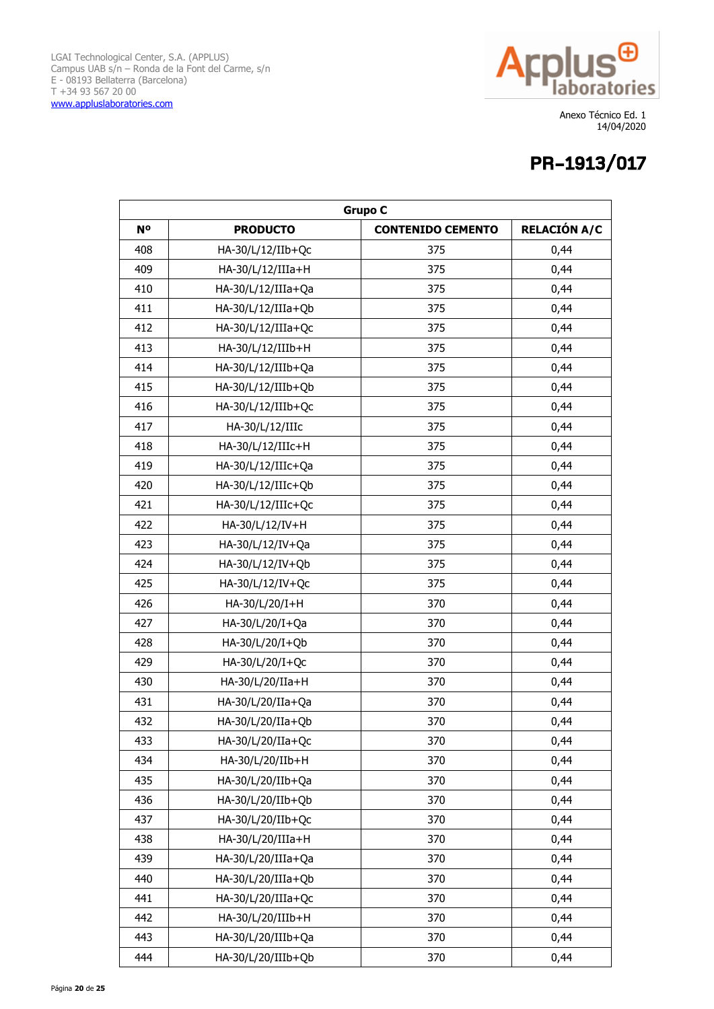

| <b>Grupo C</b> |                    |                          |                     |
|----------------|--------------------|--------------------------|---------------------|
| <b>No</b>      | <b>PRODUCTO</b>    | <b>CONTENIDO CEMENTO</b> | <b>RELACIÓN A/C</b> |
| 408            | HA-30/L/12/IIb+Qc  | 375                      | 0,44                |
| 409            | HA-30/L/12/IIIa+H  | 375                      | 0,44                |
| 410            | HA-30/L/12/IIIa+Qa | 375                      | 0,44                |
| 411            | HA-30/L/12/IIIa+Qb | 375                      | 0,44                |
| 412            | HA-30/L/12/IIIa+Qc | 375                      | 0,44                |
| 413            | HA-30/L/12/IIIb+H  | 375                      | 0,44                |
| 414            | HA-30/L/12/IIIb+Qa | 375                      | 0,44                |
| 415            | HA-30/L/12/IIIb+Qb | 375                      | 0,44                |
| 416            | HA-30/L/12/IIIb+Qc | 375                      | 0,44                |
| 417            | HA-30/L/12/IIIc    | 375                      | 0,44                |
| 418            | HA-30/L/12/IIIc+H  | 375                      | 0,44                |
| 419            | HA-30/L/12/IIIc+Qa | 375                      | 0,44                |
| 420            | HA-30/L/12/IIIc+Qb | 375                      | 0,44                |
| 421            | HA-30/L/12/IIIc+Qc | 375                      | 0,44                |
| 422            | HA-30/L/12/IV+H    | 375                      | 0,44                |
| 423            | HA-30/L/12/IV+Qa   | 375                      | 0,44                |
| 424            | HA-30/L/12/IV+Qb   | 375                      | 0,44                |
| 425            | HA-30/L/12/IV+Qc   | 375                      | 0,44                |
| 426            | HA-30/L/20/I+H     | 370                      | 0,44                |
| 427            | HA-30/L/20/I+Qa    | 370                      | 0,44                |
| 428            | HA-30/L/20/I+Qb    | 370                      | 0,44                |
| 429            | HA-30/L/20/I+Qc    | 370                      | 0,44                |
| 430            | HA-30/L/20/IIa+H   | 370                      | 0,44                |
| 431            | HA-30/L/20/IIa+Qa  | 370                      | 0,44                |
| 432            | HA-30/L/20/IIa+Qb  | 370                      | 0,44                |
| 433            | HA-30/L/20/IIa+Qc  | 370                      | 0,44                |
| 434            | HA-30/L/20/IIb+H   | 370                      | 0,44                |
| 435            | HA-30/L/20/IIb+Qa  | 370                      | 0,44                |
| 436            | HA-30/L/20/IIb+Qb  | 370                      | 0,44                |
| 437            | HA-30/L/20/IIb+Qc  | 370                      | 0,44                |
| 438            | HA-30/L/20/IIIa+H  | 370                      | 0,44                |
| 439            | HA-30/L/20/IIIa+Qa | 370                      | 0,44                |
| 440            | HA-30/L/20/IIIa+Qb | 370                      | 0,44                |
| 441            | HA-30/L/20/IIIa+Qc | 370                      | 0,44                |
| 442            | HA-30/L/20/IIIb+H  | 370                      | 0,44                |
| 443            | HA-30/L/20/IIIb+Qa | 370                      | 0,44                |
| 444            | HA-30/L/20/IIIb+Qb | 370                      | 0,44                |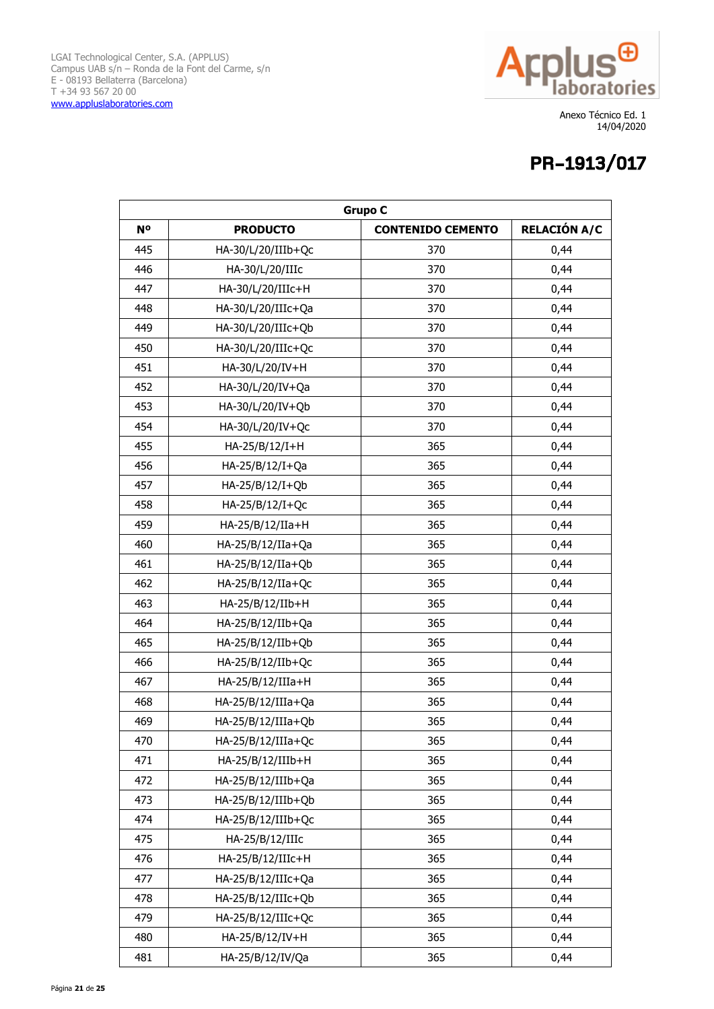

| <b>Grupo C</b> |                      |                          |                     |
|----------------|----------------------|--------------------------|---------------------|
| N <sup>o</sup> | <b>PRODUCTO</b>      | <b>CONTENIDO CEMENTO</b> | <b>RELACIÓN A/C</b> |
| 445            | HA-30/L/20/IIIb+Qc   | 370                      | 0,44                |
| 446            | HA-30/L/20/IIIc      | 370                      | 0,44                |
| 447            | HA-30/L/20/IIIc+H    | 370                      | 0,44                |
| 448            | HA-30/L/20/IIIc+Qa   | 370                      | 0,44                |
| 449            | HA-30/L/20/IIIc+Qb   | 370                      | 0,44                |
| 450            | HA-30/L/20/IIIc+Qc   | 370                      | 0,44                |
| 451            | HA-30/L/20/IV+H      | 370                      | 0,44                |
| 452            | HA-30/L/20/IV+Qa     | 370                      | 0,44                |
| 453            | HA-30/L/20/IV+Qb     | 370                      | 0,44                |
| 454            | HA-30/L/20/IV+Qc     | 370                      | 0,44                |
| 455            | HA-25/B/12/I+H       | 365                      | 0,44                |
| 456            | HA-25/B/12/I+Qa      | 365                      | 0,44                |
| 457            | HA-25/B/12/I+Qb      | 365                      | 0,44                |
| 458            | HA-25/B/12/I+Qc      | 365                      | 0,44                |
| 459            | HA-25/B/12/IIa+H     | 365                      | 0,44                |
| 460            | HA-25/B/12/IIa+Qa    | 365                      | 0,44                |
| 461            | HA-25/B/12/IIa+Qb    | 365                      | 0,44                |
| 462            | HA-25/B/12/IIa+Qc    | 365                      | 0,44                |
| 463            | HA-25/B/12/IIb+H     | 365                      | 0,44                |
| 464            | HA-25/B/12/IIb+Qa    | 365                      | 0,44                |
| 465            | HA-25/B/12/IIb+Qb    | 365                      | 0,44                |
| 466            | HA-25/B/12/IIb+Qc    | 365                      | 0,44                |
| 467            | HA-25/B/12/IIIa+H    | 365                      | 0,44                |
| 468            | HA-25/B/12/IIIa+Qa   | 365                      | 0,44                |
| 469            | HA-25/B/12/IIIa+Qb   | 365                      | 0,44                |
| 470            | $HA-25/B/12/IIIa+Qc$ | 365                      | 0,44                |
| 471            | HA-25/B/12/IIIb+H    | 365                      | 0,44                |
| 472            | HA-25/B/12/IIIb+Qa   | 365                      | 0,44                |
| 473            | HA-25/B/12/IIIb+Qb   | 365                      | 0,44                |
| 474            | HA-25/B/12/IIIb+Qc   | 365                      | 0,44                |
| 475            | HA-25/B/12/IIIc      | 365                      | 0,44                |
| 476            | HA-25/B/12/IIIc+H    | 365                      | 0,44                |
| 477            | HA-25/B/12/IIIc+Qa   | 365                      | 0,44                |
| 478            | HA-25/B/12/IIIc+Qb   | 365                      | 0,44                |
| 479            | HA-25/B/12/IIIc+Qc   | 365                      | 0,44                |
| 480            | HA-25/B/12/IV+H      | 365                      | 0,44                |
| 481            | HA-25/B/12/IV/Qa     | 365                      | 0,44                |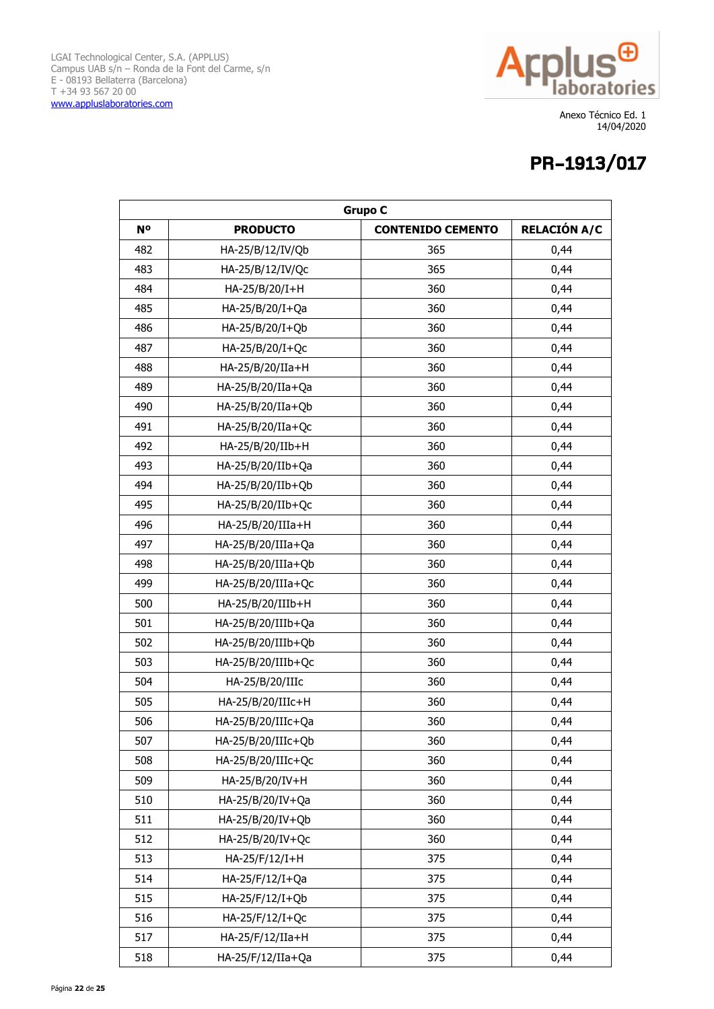

| <b>Grupo C</b> |                      |                          |                     |
|----------------|----------------------|--------------------------|---------------------|
| <b>No</b>      | <b>PRODUCTO</b>      | <b>CONTENIDO CEMENTO</b> | <b>RELACIÓN A/C</b> |
| 482            | HA-25/B/12/IV/Qb     | 365                      | 0,44                |
| 483            | HA-25/B/12/IV/Qc     | 365                      | 0,44                |
| 484            | HA-25/B/20/I+H       | 360                      | 0,44                |
| 485            | HA-25/B/20/I+Qa      | 360                      | 0,44                |
| 486            | HA-25/B/20/I+Qb      | 360                      | 0,44                |
| 487            | HA-25/B/20/I+Qc      | 360                      | 0,44                |
| 488            | HA-25/B/20/IIa+H     | 360                      | 0,44                |
| 489            | HA-25/B/20/IIa+Qa    | 360                      | 0,44                |
| 490            | HA-25/B/20/IIa+Qb    | 360                      | 0,44                |
| 491            | HA-25/B/20/IIa+Qc    | 360                      | 0,44                |
| 492            | HA-25/B/20/IIb+H     | 360                      | 0,44                |
| 493            | HA-25/B/20/IIb+Qa    | 360                      | 0,44                |
| 494            | HA-25/B/20/IIb+Qb    | 360                      | 0,44                |
| 495            | HA-25/B/20/IIb+Qc    | 360                      | 0,44                |
| 496            | HA-25/B/20/IIIa+H    | 360                      | 0,44                |
| 497            | HA-25/B/20/IIIa+Qa   | 360                      | 0,44                |
| 498            | $HA-25/B/20/IIIa+Qb$ | 360                      | 0,44                |
| 499            | HA-25/B/20/IIIa+Qc   | 360                      | 0,44                |
| 500            | HA-25/B/20/IIIb+H    | 360                      | 0,44                |
| 501            | HA-25/B/20/IIIb+Qa   | 360                      | 0,44                |
| 502            | HA-25/B/20/IIIb+Qb   | 360                      | 0,44                |
| 503            | HA-25/B/20/IIIb+Qc   | 360                      | 0,44                |
| 504            | HA-25/B/20/IIIc      | 360                      | 0,44                |
| 505            | HA-25/B/20/IIIc+H    | 360                      | 0,44                |
| 506            | HA-25/B/20/IIIc+Qa   | 360                      | 0,44                |
| 507            | HA-25/B/20/IIIc+Qb   | 360                      | 0,44                |
| 508            | HA-25/B/20/IIIc+Qc   | 360                      | 0,44                |
| 509            | HA-25/B/20/IV+H      | 360                      | 0,44                |
| 510            | HA-25/B/20/IV+Qa     | 360                      | 0,44                |
| 511            | HA-25/B/20/IV+Qb     | 360                      | 0,44                |
| 512            | HA-25/B/20/IV+Qc     | 360                      | 0,44                |
| 513            | HA-25/F/12/I+H       | 375                      | 0,44                |
| 514            | HA-25/F/12/I+Qa      | 375                      | 0,44                |
| 515            | HA-25/F/12/I+Qb      | 375                      | 0,44                |
| 516            | HA-25/F/12/I+Qc      | 375                      | 0,44                |
| 517            | HA-25/F/12/IIa+H     | 375                      | 0,44                |
| 518            | HA-25/F/12/IIa+Qa    | 375                      | 0,44                |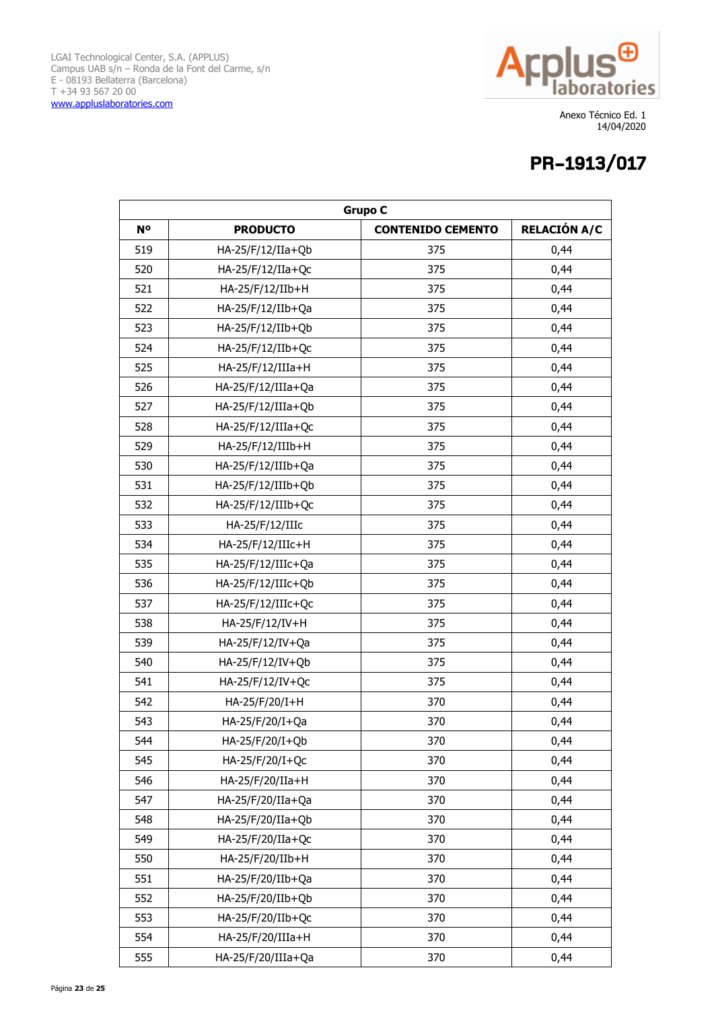

| <b>Grupo C</b> |                      |                          |                     |
|----------------|----------------------|--------------------------|---------------------|
| N <sup>o</sup> | <b>PRODUCTO</b>      | <b>CONTENIDO CEMENTO</b> | <b>RELACIÓN A/C</b> |
| 519            | $HA-25/F/12/IIa+Qb$  | 375                      | 0,44                |
| 520            | HA-25/F/12/IIa+Qc    | 375                      | 0,44                |
| 521            | HA-25/F/12/IIb+H     | 375                      | 0,44                |
| 522            | HA-25/F/12/IIb+Qa    | 375                      | 0,44                |
| 523            | HA-25/F/12/IIb+Qb    | 375                      | 0,44                |
| 524            | HA-25/F/12/IIb+Qc    | 375                      | 0,44                |
| 525            | HA-25/F/12/IIIa+H    | 375                      | 0,44                |
| 526            | HA-25/F/12/IIIa+Qa   | 375                      | 0,44                |
| 527            | $HA-25/F/12/IIIa+Qb$ | 375                      | 0,44                |
| 528            | HA-25/F/12/IIIa+Qc   | 375                      | 0,44                |
| 529            | HA-25/F/12/IIIb+H    | 375                      | 0,44                |
| 530            | HA-25/F/12/IIIb+Qa   | 375                      | 0,44                |
| 531            | HA-25/F/12/IIIb+Qb   | 375                      | 0,44                |
| 532            | HA-25/F/12/IIIb+Qc   | 375                      | 0,44                |
| 533            | HA-25/F/12/IIIc      | 375                      | 0,44                |
| 534            | HA-25/F/12/IIIc+H    | 375                      | 0,44                |
| 535            | HA-25/F/12/IIIc+Qa   | 375                      | 0,44                |
| 536            | HA-25/F/12/IIIc+Qb   | 375                      | 0,44                |
| 537            | HA-25/F/12/IIIc+Qc   | 375                      | 0,44                |
| 538            | HA-25/F/12/IV+H      | 375                      | 0,44                |
| 539            | HA-25/F/12/IV+Qa     | 375                      | 0,44                |
| 540            | HA-25/F/12/IV+Qb     | 375                      | 0,44                |
| 541            | HA-25/F/12/IV+Qc     | 375                      | 0,44                |
| 542            | HA-25/F/20/I+H       | 370                      | 0,44                |
| 543            | HA-25/F/20/I+Qa      | 370                      | 0,44                |
| 544            | HA-25/F/20/I+Qb      | 370                      | 0,44                |
| 545            | HA-25/F/20/I+Qc      | 370                      | 0,44                |
| 546            | HA-25/F/20/IIa+H     | 370                      | 0,44                |
| 547            | HA-25/F/20/IIa+Qa    | 370                      | 0,44                |
| 548            | HA-25/F/20/IIa+Qb    | 370                      | 0,44                |
| 549            | HA-25/F/20/IIa+Qc    | 370                      | 0,44                |
| 550            | HA-25/F/20/IIb+H     | 370                      | 0,44                |
| 551            | HA-25/F/20/IIb+Qa    | 370                      | 0,44                |
| 552            | HA-25/F/20/IIb+Qb    | 370                      | 0,44                |
| 553            | HA-25/F/20/IIb+Qc    | 370                      | 0,44                |
| 554            | HA-25/F/20/IIIa+H    | 370                      | 0,44                |
| 555            | HA-25/F/20/IIIa+Qa   | 370                      | 0,44                |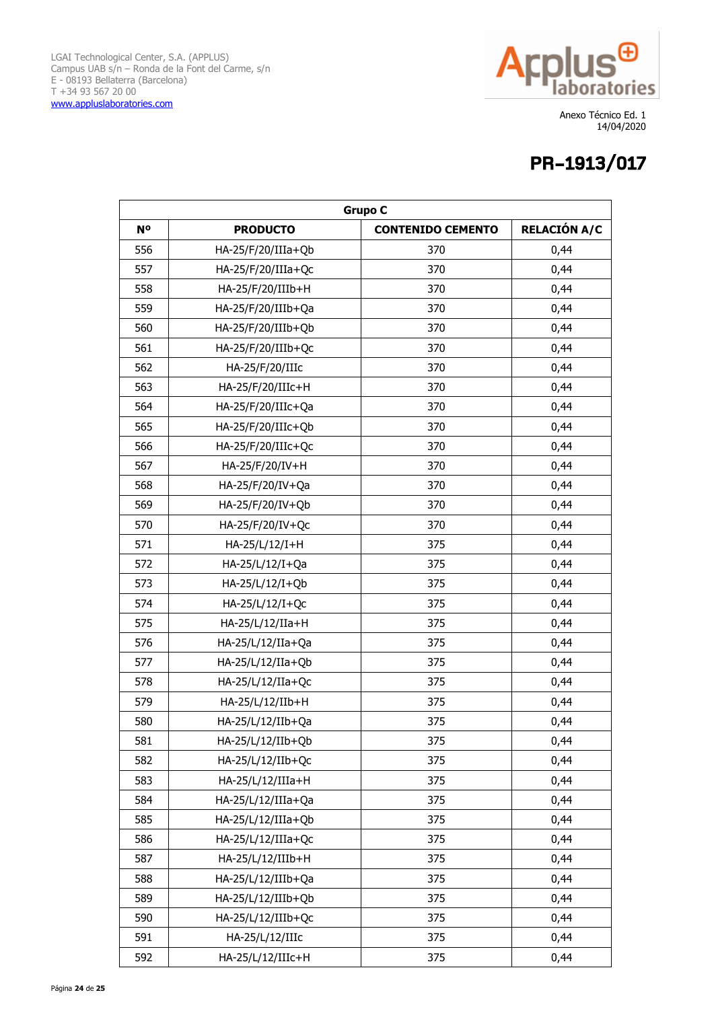

| <b>Grupo C</b> |                      |                          |                     |
|----------------|----------------------|--------------------------|---------------------|
| <b>No</b>      | <b>PRODUCTO</b>      | <b>CONTENIDO CEMENTO</b> | <b>RELACIÓN A/C</b> |
| 556            | $HA-25/F/20/IIIa+Qb$ | 370                      | 0,44                |
| 557            | HA-25/F/20/IIIa+Qc   | 370                      | 0,44                |
| 558            | HA-25/F/20/IIIb+H    | 370                      | 0,44                |
| 559            | HA-25/F/20/IIIb+Qa   | 370                      | 0,44                |
| 560            | HA-25/F/20/IIIb+Qb   | 370                      | 0,44                |
| 561            | HA-25/F/20/IIIb+Qc   | 370                      | 0,44                |
| 562            | HA-25/F/20/IIIc      | 370                      | 0,44                |
| 563            | HA-25/F/20/IIIc+H    | 370                      | 0,44                |
| 564            | HA-25/F/20/IIIc+Qa   | 370                      | 0,44                |
| 565            | HA-25/F/20/IIIc+Qb   | 370                      | 0,44                |
| 566            | HA-25/F/20/IIIc+Qc   | 370                      | 0,44                |
| 567            | HA-25/F/20/IV+H      | 370                      | 0,44                |
| 568            | HA-25/F/20/IV+Qa     | 370                      | 0,44                |
| 569            | HA-25/F/20/IV+Qb     | 370                      | 0,44                |
| 570            | HA-25/F/20/IV+Qc     | 370                      | 0,44                |
| 571            | HA-25/L/12/I+H       | 375                      | 0,44                |
| 572            | HA-25/L/12/I+Qa      | 375                      | 0,44                |
| 573            | HA-25/L/12/I+Qb      | 375                      | 0,44                |
| 574            | HA-25/L/12/I+Qc      | 375                      | 0,44                |
| 575            | HA-25/L/12/IIa+H     | 375                      | 0,44                |
| 576            | HA-25/L/12/IIa+Qa    | 375                      | 0,44                |
| 577            | HA-25/L/12/IIa+Qb    | 375                      | 0,44                |
| 578            | HA-25/L/12/IIa+Qc    | 375                      | 0,44                |
| 579            | HA-25/L/12/IIb+H     | 375                      | 0,44                |
| 580            | HA-25/L/12/IIb+Qa    | 375                      | 0,44                |
| 581            | HA-25/L/12/IIb+Qb    | 375                      | 0,44                |
| 582            | HA-25/L/12/IIb+Qc    | 375                      | 0,44                |
| 583            | HA-25/L/12/IIIa+H    | 375                      | 0,44                |
| 584            | HA-25/L/12/IIIa+Qa   | 375                      | 0,44                |
| 585            | HA-25/L/12/IIIa+Qb   | 375                      | 0,44                |
| 586            | HA-25/L/12/IIIa+Qc   | 375                      | 0,44                |
| 587            | HA-25/L/12/IIIb+H    | 375                      | 0,44                |
| 588            | HA-25/L/12/IIIb+Qa   | 375                      | 0,44                |
| 589            | HA-25/L/12/IIIb+Qb   | 375                      | 0,44                |
| 590            | HA-25/L/12/IIIb+Qc   | 375                      | 0,44                |
| 591            | HA-25/L/12/IIIc      | 375                      | 0,44                |
| 592            | HA-25/L/12/IIIc+H    | 375                      | 0,44                |